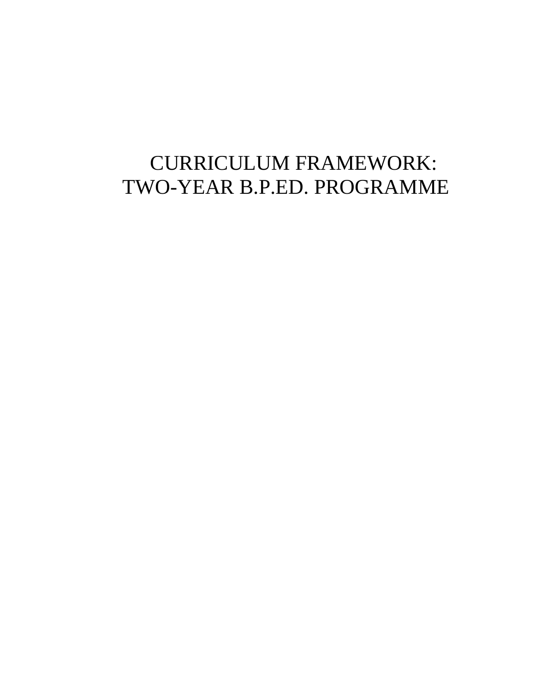# CURRICULUM FRAMEWORK: TWO-YEAR B.P.ED. PROGRAMME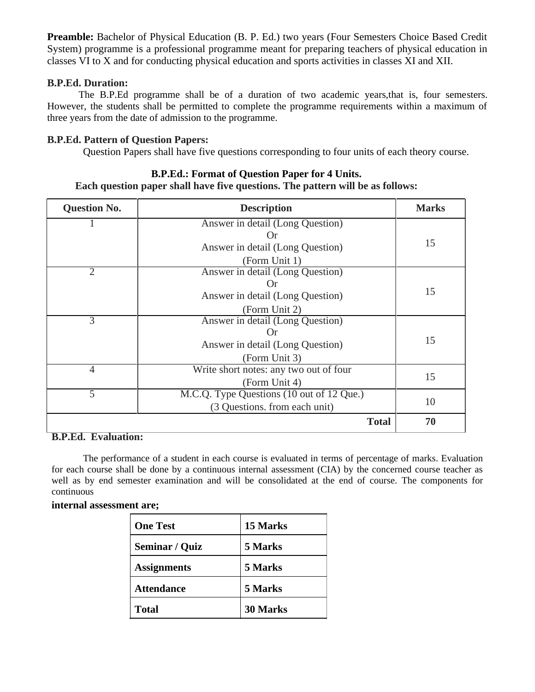**Preamble:** Bachelor of Physical Education (B. P. Ed.) two years (Four Semesters Choice Based Credit System) programme is a professional programme meant for preparing teachers of physical education in classes VI to X and for conducting physical education and sports activities in classes XI and XII.

### **B.P.Ed. Duration:**

The B.P.Ed programme shall be of a duration of two academic years,that is, four semesters. However, the students shall be permitted to complete the programme requirements within a maximum of three years from the date of admission to the programme.

### **B.P.Ed. Pattern of Question Papers:**

Question Papers shall have five questions corresponding to four units of each theory course.

## **Question No. Description Marks** 1 Answer in detail (Long Question) Or Answer in detail (Long Question) 15 (Form Unit 1) 2 Answer in detail (Long Question) Or Answer in detail (Long Question) 15 (Form Unit 2) 3 Answer in detail (Long Question) Or Answer in detail (Long Question) 15 (Form Unit 3) 4 Write short notes: any two out of four  $15$  (Form Unit 4) 15 5 M.C.Q. Type Questions (10 out of 12 Que.)  $(3 \text{ Questions. from each unit})$   $10$ **Total 70**

### **B.P.Ed.: Format of Question Paper for 4 Units.**

**Each question paper shall have five questions. The pattern will be as follows:**

## **B.P.Ed. Evaluation:**

The performance of a student in each course is evaluated in terms of percentage of marks. Evaluation for each course shall be done by a continuous internal assessment (CIA) by the concerned course teacher as well as by end semester examination and will be consolidated at the end of course. The components for continuous

### **internal assessment are;**

| <b>One Test</b>    | 15 Marks        |
|--------------------|-----------------|
| Seminar / Quiz     | 5 Marks         |
| <b>Assignments</b> | 5 Marks         |
| <b>Attendance</b>  | 5 Marks         |
| <b>Total</b>       | <b>30 Marks</b> |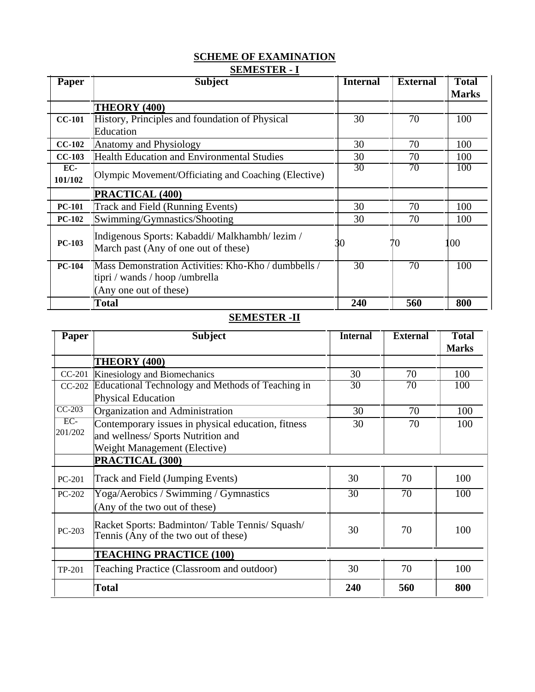## **SCHEME OF EXAMINATION SEMESTER - I**

| Paper         | <b>Subject</b>                                                                                                   | <b>Internal</b> | <b>External</b> | <b>Total</b> |
|---------------|------------------------------------------------------------------------------------------------------------------|-----------------|-----------------|--------------|
|               |                                                                                                                  |                 |                 | <b>Marks</b> |
|               | THEORY (400)                                                                                                     |                 |                 |              |
| <b>CC-101</b> | History, Principles and foundation of Physical                                                                   | 30              | 70              | 100          |
|               | Education                                                                                                        |                 |                 |              |
| $CC-102$      | Anatomy and Physiology                                                                                           | 30              | 70              | 100          |
| $CC-103$      | <b>Health Education and Environmental Studies</b>                                                                | 30              | 70              | 100          |
| EC-           | Olympic Movement/Officiating and Coaching (Elective)                                                             | 30              | 70              | 100          |
| 101/102       |                                                                                                                  |                 |                 |              |
|               | PRACTICAL (400)                                                                                                  |                 |                 |              |
| <b>PC-101</b> | Track and Field (Running Events)                                                                                 | 30              | 70              | 100          |
| <b>PC-102</b> | Swimming/Gymnastics/Shooting                                                                                     | 30              | 70              | 100          |
| <b>PC-103</b> | Indigenous Sports: Kabaddi/Malkhambh/lezim/<br>March past (Any of one out of these)                              |                 | 70              | 00           |
| $PC-104$      | Mass Demonstration Activities: Kho-Kho / dumbbells /<br>tipri / wands / hoop /umbrella<br>(Any one out of these) | 30              | $\overline{70}$ | 100          |
|               | Total                                                                                                            | 240             | 560             | 800          |

## **SEMESTER -II**

| Paper           | <b>Subject</b>                                                                        | <b>Internal</b> | <b>External</b> | <b>Total</b><br><b>Marks</b> |
|-----------------|---------------------------------------------------------------------------------------|-----------------|-----------------|------------------------------|
|                 | <b>THEORY (400)</b>                                                                   |                 |                 |                              |
|                 | CC-201  Kinesiology and Biomechanics                                                  | 30              | 70              | 100                          |
| $CC-202$        | Educational Technology and Methods of Teaching in                                     | 30              | 70              | 100                          |
|                 | <b>Physical Education</b>                                                             |                 |                 |                              |
| $CC-203$        | Organization and Administration                                                       | 30              | 70              | 100                          |
| $\overline{EC}$ | Contemporary issues in physical education, fitness                                    | 30              | 70              | 100                          |
| 201/202         | and wellness/ Sports Nutrition and                                                    |                 |                 |                              |
|                 | Weight Management (Elective)                                                          |                 |                 |                              |
|                 | PRACTICAL (300)                                                                       |                 |                 |                              |
| PC-201          | Track and Field (Jumping Events)                                                      | 30              | 70              | 100                          |
| PC-202          | Yoga/Aerobics / Swimming / Gymnastics                                                 | 30              | 70              | 100                          |
|                 | (Any of the two out of these)                                                         |                 |                 |                              |
| PC-203          | Racket Sports: Badminton/Table Tennis/Squash/<br>Tennis (Any of the two out of these) | 30              | 70              | 100                          |
|                 | <b>TEACHING PRACTICE (100)</b>                                                        |                 |                 |                              |
| TP-201          | Teaching Practice (Classroom and outdoor)                                             | 30              | 70              | 100                          |
|                 | Total                                                                                 | 240             | 560             | 800                          |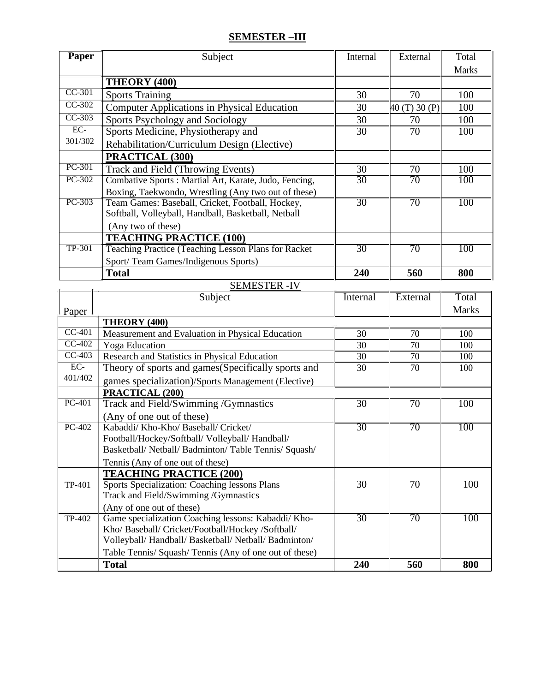## **SEMESTER –III**

| <b>Paper</b>        | Subject                                                                                                | Internal        | External        | Total        |
|---------------------|--------------------------------------------------------------------------------------------------------|-----------------|-----------------|--------------|
|                     |                                                                                                        |                 |                 | <b>Marks</b> |
|                     | <b>THEORY (400)</b>                                                                                    |                 |                 |              |
| $CC-301$            | <b>Sports Training</b>                                                                                 | 30              | 70              | 100          |
| $CC-302$            | <b>Computer Applications in Physical Education</b>                                                     | 30              | 40(T)30(P)      | 100          |
| $CC-303$            | Sports Psychology and Sociology                                                                        | 30              | 70              | 100          |
| $\overline{EC}$     | Sports Medicine, Physiotherapy and                                                                     | $\overline{30}$ | $\overline{70}$ | 100          |
| 301/302             | Rehabilitation/Curriculum Design (Elective)                                                            |                 |                 |              |
|                     | PRACTICAL (300)                                                                                        |                 |                 |              |
| PC-301              | Track and Field (Throwing Events)                                                                      | 30              | 70              | 100          |
| PC-302              | Combative Sports : Martial Art, Karate, Judo, Fencing,                                                 | 30              | 70              | 100          |
|                     | Boxing, Taekwondo, Wrestling (Any two out of these)                                                    |                 |                 |              |
| PC-303              | Team Games: Baseball, Cricket, Football, Hockey,                                                       | 30              | 70              | 100          |
|                     | Softball, Volleyball, Handball, Basketball, Netball                                                    |                 |                 |              |
|                     | (Any two of these)                                                                                     |                 |                 |              |
|                     | <b>TEACHING PRACTICE (100)</b>                                                                         |                 |                 |              |
| <b>TP-301</b>       | Teaching Practice (Teaching Lesson Plans for Racket                                                    | 30              | 70              | 100          |
|                     | Sport/Team Games/Indigenous Sports)                                                                    |                 |                 |              |
|                     | <b>Total</b>                                                                                           | 240             | 560             | 800          |
|                     | <b>SEMESTER -IV</b>                                                                                    |                 |                 | Total        |
|                     | Subject                                                                                                | Internal        | External        |              |
| Paper               |                                                                                                        |                 |                 | <b>Marks</b> |
| $\overline{CC-401}$ | THEORY (400)                                                                                           | 30              | 70              | 100          |
| $CC-402$            | Measurement and Evaluation in Physical Education<br><b>Yoga</b> Education                              | 30              | 70              | 100          |
| $CC-403$            | Research and Statistics in Physical Education                                                          | 30              | 70              | 100          |
| $\overline{EC}$     | Theory of sports and games (Specifically sports and                                                    | 30              | 70              | 100          |
| 401/402             | games specialization)/Sports Management (Elective)                                                     |                 |                 |              |
|                     | PRACTICAL (200)                                                                                        |                 |                 |              |
| $PC-401$            | Track and Field/Swimming /Gymnastics                                                                   | $\overline{30}$ | $\overline{70}$ | 100          |
|                     | (Any of one out of these)                                                                              |                 |                 |              |
| $PC-402$            | Kabaddi/ Kho-Kho/ Baseball/ Cricket/                                                                   | 30              | 70              | 100          |
|                     | Football/Hockey/Softball/ Volleyball/ Handball/                                                        |                 |                 |              |
|                     | Basketball/ Netball/ Badminton/ Table Tennis/ Squash/                                                  |                 |                 |              |
|                     | Tennis (Any of one out of these)                                                                       |                 |                 |              |
|                     | <b>TEACHING PRACTICE (200)</b>                                                                         |                 |                 |              |
| <b>TP-401</b>       | Sports Specialization: Coaching lessons Plans                                                          | 30              | 70              | 100          |
|                     | Track and Field/Swimming /Gymnastics                                                                   |                 |                 |              |
|                     | (Any of one out of these)                                                                              |                 |                 |              |
| TP-402              | Game specialization Coaching lessons: Kabaddi/Kho-                                                     | 30              | 70              | 100          |
|                     | Kho/ Baseball/ Cricket/Football/Hockey /Softball/<br>Volleyball/Handball/Basketball/Netball/Badminton/ |                 |                 |              |
|                     | Table Tennis/ Squash/ Tennis (Any of one out of these)                                                 |                 |                 |              |
|                     | <b>Total</b>                                                                                           | 240             | 560             | 800          |
|                     |                                                                                                        |                 |                 |              |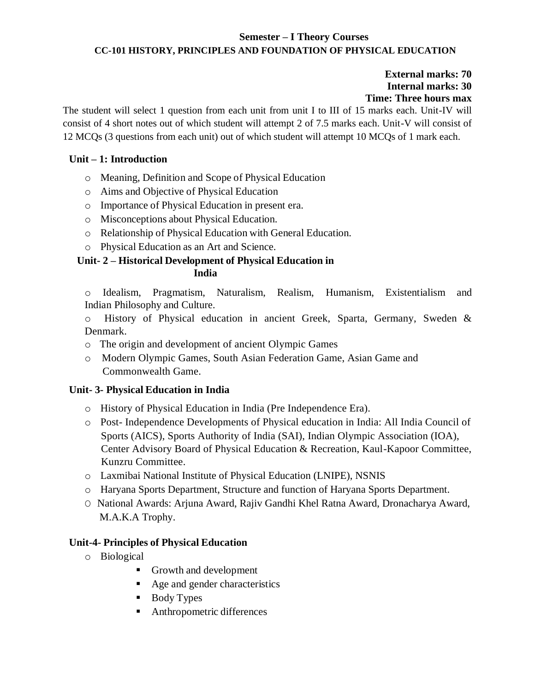## **Semester – I Theory Courses CC-101 HISTORY, PRINCIPLES AND FOUNDATION OF PHYSICAL EDUCATION**

## **External marks: 70 Internal marks: 30 Time: Three hours max**

The student will select 1 question from each unit from unit I to III of 15 marks each. Unit-IV will consist of 4 short notes out of which student will attempt 2 of 7.5 marks each. Unit-V will consist of 12 MCQs (3 questions from each unit) out of which student will attempt 10 MCQs of 1 mark each.

## **Unit – 1: Introduction**

- o Meaning, Definition and Scope of Physical Education
- o Aims and Objective of Physical Education
- o Importance of Physical Education in present era.
- o Misconceptions about Physical Education.
- o Relationship of Physical Education with General Education.
- o Physical Education as an Art and Science.

## **Unit- 2 – Historical Development of Physical Education in India**

o Idealism, Pragmatism, Naturalism, Realism, Humanism, Existentialism and Indian Philosophy and Culture.

o History of Physical education in ancient Greek, Sparta, Germany, Sweden & Denmark.

- o The origin and development of ancient Olympic Games
- o Modern Olympic Games, South Asian Federation Game, Asian Game and Commonwealth Game.

## **Unit- 3- Physical Education in India**

- o History of Physical Education in India (Pre Independence Era).
- o Post- Independence Developments of Physical education in India: All India Council of Sports (AICS), Sports Authority of India (SAI), Indian Olympic Association (IOA), Center Advisory Board of Physical Education & Recreation, Kaul-Kapoor Committee, Kunzru Committee.
- o Laxmibai National Institute of Physical Education (LNIPE), NSNIS
- o Haryana Sports Department, Structure and function of Haryana Sports Department.
- O National Awards: Arjuna Award, Rajiv Gandhi Khel Ratna Award, Dronacharya Award, M.A.K.A Trophy.

## **Unit-4- Principles of Physical Education**

- o Biological
	- Growth and development
	- Age and gender characteristics
	- Body Types
	- Anthropometric differences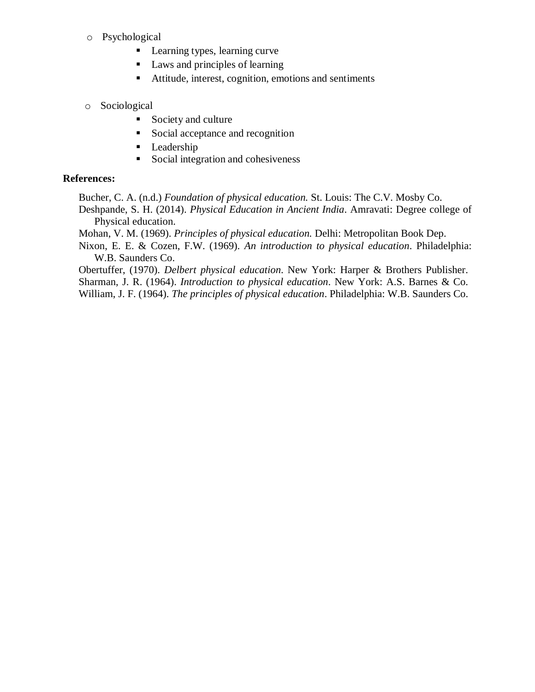- o Psychological
	- Learning types, learning curve
	- Laws and principles of learning
	- Attitude, interest, cognition, emotions and sentiments
- o Sociological
	- Society and culture
	- Social acceptance and recognition
	- **•** Leadership
	- Social integration and cohesiveness

## **References:**

Bucher, C. A. (n.d.) *Foundation of physical education.* St. Louis: The C.V. Mosby Co.

Deshpande, S. H. (2014). *Physical Education in Ancient India*. Amravati: Degree college of Physical education.

Mohan, V. M. (1969). *Principles of physical education.* Delhi: Metropolitan Book Dep.

Nixon, E. E. & Cozen, F.W. (1969). *An introduction to physical education*. Philadelphia: W.B. Saunders Co.

Obertuffer, (1970). *Delbert physical education*. New York: Harper & Brothers Publisher. Sharman, J. R. (1964). *Introduction to physical education*. New York: A.S. Barnes & Co.

William, J. F. (1964). *The principles of physical education*. Philadelphia: W.B. Saunders Co.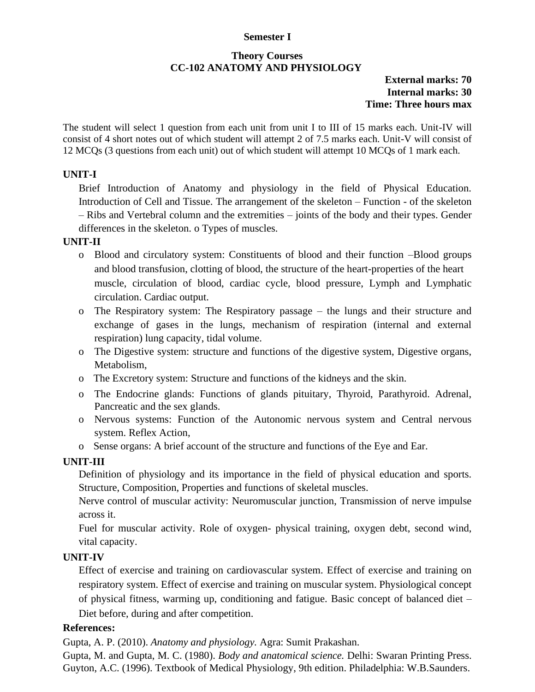### **Semester I**

## **Theory Courses CC-102 ANATOMY AND PHYSIOLOGY**

## **External marks: 70 Internal marks: 30 Time: Three hours max**

The student will select 1 question from each unit from unit I to III of 15 marks each. Unit-IV will consist of 4 short notes out of which student will attempt 2 of 7.5 marks each. Unit-V will consist of 12 MCQs (3 questions from each unit) out of which student will attempt 10 MCQs of 1 mark each.

### **UNIT-I**

Brief Introduction of Anatomy and physiology in the field of Physical Education. Introduction of Cell and Tissue. The arrangement of the skeleton – Function - of the skeleton – Ribs and Vertebral column and the extremities – joints of the body and their types. Gender differences in the skeleton. o Types of muscles.

### **UNIT-II**

- o Blood and circulatory system: Constituents of blood and their function –Blood groups and blood transfusion, clotting of blood, the structure of the heart-properties of the heart muscle, circulation of blood, cardiac cycle, blood pressure, Lymph and Lymphatic circulation. Cardiac output.
- o The Respiratory system: The Respiratory passage the lungs and their structure and exchange of gases in the lungs, mechanism of respiration (internal and external respiration) lung capacity, tidal volume.
- o The Digestive system: structure and functions of the digestive system, Digestive organs, Metabolism,
- o The Excretory system: Structure and functions of the kidneys and the skin.
- o The Endocrine glands: Functions of glands pituitary, Thyroid, Parathyroid. Adrenal, Pancreatic and the sex glands.
- o Nervous systems: Function of the Autonomic nervous system and Central nervous system. Reflex Action,
- o Sense organs: A brief account of the structure and functions of the Eye and Ear.

### **UNIT-III**

Definition of physiology and its importance in the field of physical education and sports. Structure, Composition, Properties and functions of skeletal muscles.

Nerve control of muscular activity: Neuromuscular junction, Transmission of nerve impulse across it.

Fuel for muscular activity. Role of oxygen- physical training, oxygen debt, second wind, vital capacity.

### **UNIT-IV**

Effect of exercise and training on cardiovascular system. Effect of exercise and training on respiratory system. Effect of exercise and training on muscular system. Physiological concept of physical fitness, warming up, conditioning and fatigue. Basic concept of balanced diet – Diet before, during and after competition.

### **References:**

Gupta, A. P. (2010). *Anatomy and physiology.* Agra: Sumit Prakashan.

Gupta, M. and Gupta, M. C. (1980). *Body and anatomical science.* Delhi: Swaran Printing Press. Guyton, A.C. (1996). Textbook of Medical Physiology, 9th edition. Philadelphia: W.B.Saunders.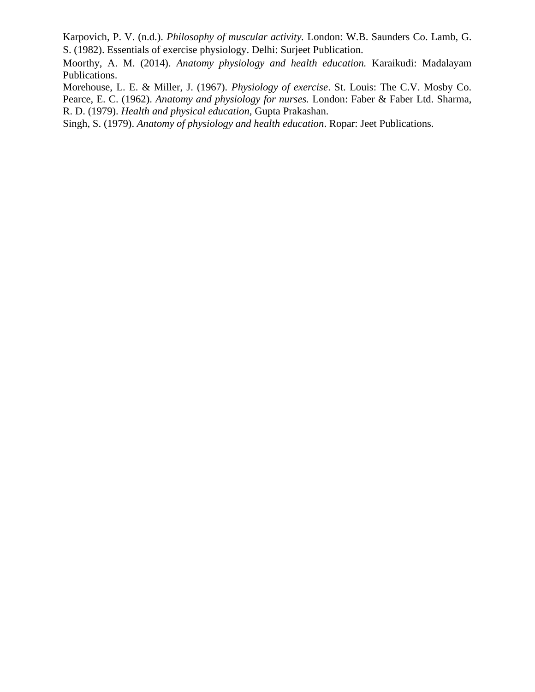Karpovich, P. V. (n.d.). *Philosophy of muscular activity.* London: W.B. Saunders Co. Lamb, G. S. (1982). Essentials of exercise physiology. Delhi: Surjeet Publication.

Moorthy, A. M. (2014). *Anatomy physiology and health education.* Karaikudi: Madalayam Publications.

Morehouse, L. E. & Miller, J. (1967). *Physiology of exercise*. St. Louis: The C.V. Mosby Co. Pearce, E. C. (1962). *Anatomy and physiology for nurses.* London: Faber & Faber Ltd. Sharma, R. D. (1979). *Health and physical education,* Gupta Prakashan.

Singh, S. (1979). *Anatomy of physiology and health education*. Ropar: Jeet Publications.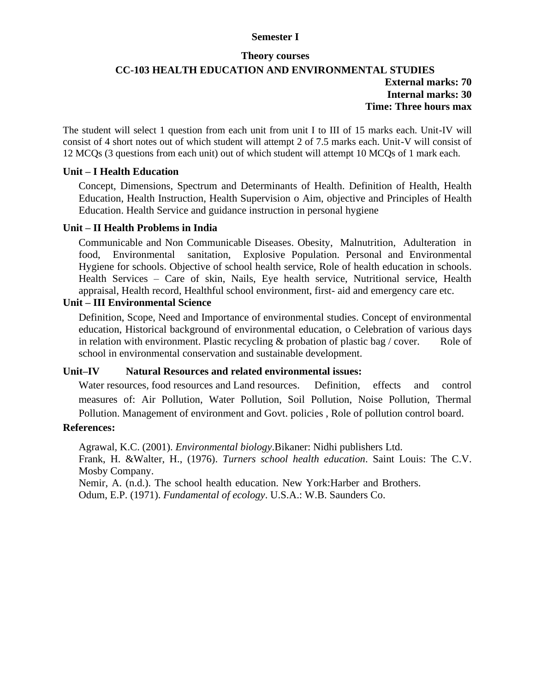### **Semester I**

#### **Theory courses**

## **CC-103 HEALTH EDUCATION AND ENVIRONMENTAL STUDIES External marks: 70 Internal marks: 30 Time: Three hours max**

The student will select 1 question from each unit from unit I to III of 15 marks each. Unit-IV will consist of 4 short notes out of which student will attempt 2 of 7.5 marks each. Unit-V will consist of 12 MCQs (3 questions from each unit) out of which student will attempt 10 MCQs of 1 mark each.

### **Unit – I Health Education**

Concept, Dimensions, Spectrum and Determinants of Health. Definition of Health, Health Education, Health Instruction, Health Supervision o Aim, objective and Principles of Health Education. Health Service and guidance instruction in personal hygiene

### **Unit – II Health Problems in India**

Communicable and Non Communicable Diseases. Obesity, Malnutrition, Adulteration in food, Environmental sanitation, Explosive Population. Personal and Environmental Hygiene for schools. Objective of school health service, Role of health education in schools. Health Services – Care of skin, Nails, Eye health service, Nutritional service, Health appraisal, Health record, Healthful school environment, first- aid and emergency care etc.

## **Unit – III Environmental Science**

Definition, Scope, Need and Importance of environmental studies. Concept of environmental education, Historical background of environmental education, o Celebration of various days in relation with environment. Plastic recycling  $\&$  probation of plastic bag / cover. Role of school in environmental conservation and sustainable development.

### **Unit–IV Natural Resources and related environmental issues:**

Water resources, food resources and Land resources. Definition, effects and control measures of: Air Pollution, Water Pollution, Soil Pollution, Noise Pollution, Thermal Pollution. Management of environment and Govt. policies , Role of pollution control board.

### **References:**

Agrawal, K.C. (2001). *Environmental biology*.Bikaner: Nidhi publishers Ltd. Frank, H. &Walter, H., (1976). *Turners school health education*. Saint Louis: The C.V. Mosby Company.

Nemir, A. (n.d.). The school health education. New York:Harber and Brothers.

Odum, E.P. (1971). *Fundamental of ecology*. U.S.A.: W.B. Saunders Co.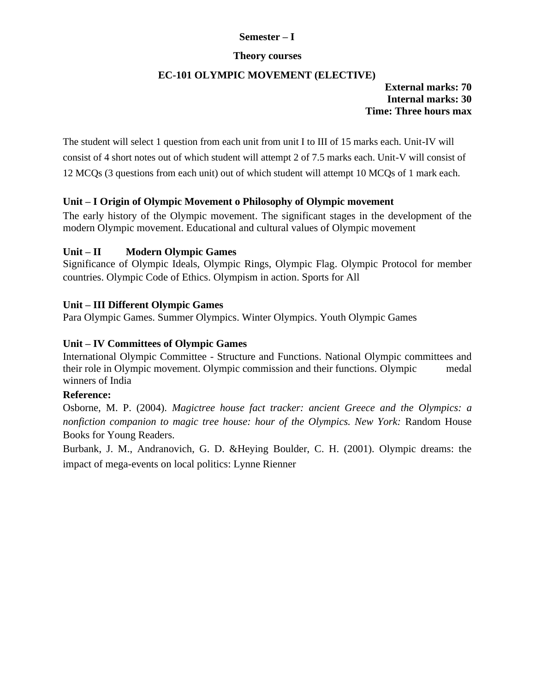## **Semester – I**

### **Theory courses**

### **EC-101 OLYMPIC MOVEMENT (ELECTIVE)**

## **External marks: 70 Internal marks: 30 Time: Three hours max**

The student will select 1 question from each unit from unit I to III of 15 marks each. Unit-IV will consist of 4 short notes out of which student will attempt 2 of 7.5 marks each. Unit-V will consist of 12 MCQs (3 questions from each unit) out of which student will attempt 10 MCQs of 1 mark each.

### **Unit – I Origin of Olympic Movement o Philosophy of Olympic movement**

The early history of the Olympic movement. The significant stages in the development of the modern Olympic movement. Educational and cultural values of Olympic movement

## **Unit – II Modern Olympic Games**

Significance of Olympic Ideals, Olympic Rings, Olympic Flag. Olympic Protocol for member countries. Olympic Code of Ethics. Olympism in action. Sports for All

## **Unit – III Different Olympic Games**

Para Olympic Games. Summer Olympics. Winter Olympics. Youth Olympic Games

## **Unit – IV Committees of Olympic Games**

International Olympic Committee - Structure and Functions. National Olympic committees and their role in Olympic movement. Olympic commission and their functions. Olympic medal winners of India

### **Reference:**

Osborne, M. P. (2004). *Magictree house fact tracker: ancient Greece and the Olympics: a nonfiction companion to magic tree house: hour of the Olympics. New York:* Random House Books for Young Readers.

Burbank, J. M., Andranovich, G. D. &Heying Boulder, C. H. (2001). Olympic dreams: the impact of mega-events on local politics: Lynne Rienner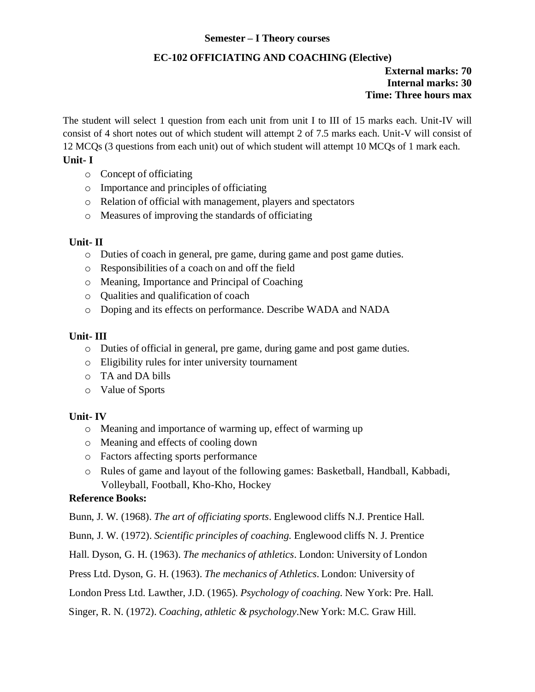## **Semester – I Theory courses**

## **EC-102 OFFICIATING AND COACHING (Elective)**

### **External marks: 70 Internal marks: 30 Time: Three hours max**

The student will select 1 question from each unit from unit I to III of 15 marks each. Unit-IV will consist of 4 short notes out of which student will attempt 2 of 7.5 marks each. Unit-V will consist of 12 MCQs (3 questions from each unit) out of which student will attempt 10 MCQs of 1 mark each.

## **Unit- I**

- o Concept of officiating
- o Importance and principles of officiating
- o Relation of official with management, players and spectators
- o Measures of improving the standards of officiating

## **Unit- II**

- o Duties of coach in general, pre game, during game and post game duties.
- o Responsibilities of a coach on and off the field
- o Meaning, Importance and Principal of Coaching
- o Qualities and qualification of coach
- o Doping and its effects on performance. Describe WADA and NADA

## **Unit- III**

- o Duties of official in general, pre game, during game and post game duties.
- o Eligibility rules for inter university tournament
- o TA and DA bills
- o Value of Sports

## **Unit- IV**

- o Meaning and importance of warming up, effect of warming up
- o Meaning and effects of cooling down
- o Factors affecting sports performance
- o Rules of game and layout of the following games: Basketball, Handball, Kabbadi, Volleyball, Football, Kho-Kho, Hockey

## **Reference Books:**

Bunn, J. W. (1968). *The art of officiating sports*. Englewood cliffs N.J. Prentice Hall.

Bunn, J. W. (1972). *Scientific principles of coaching.* Englewood cliffs N. J. Prentice

Hall. Dyson, G. H. (1963). *The mechanics of athletics*. London: University of London

Press Ltd. Dyson, G. H. (1963). *The mechanics of Athletics*. London: University of

London Press Ltd. Lawther, J.D. (1965). *Psychology of coaching.* New York: Pre. Hall.

Singer, R. N. (1972). *Coaching, athletic & psychology*.New York: M.C. Graw Hill.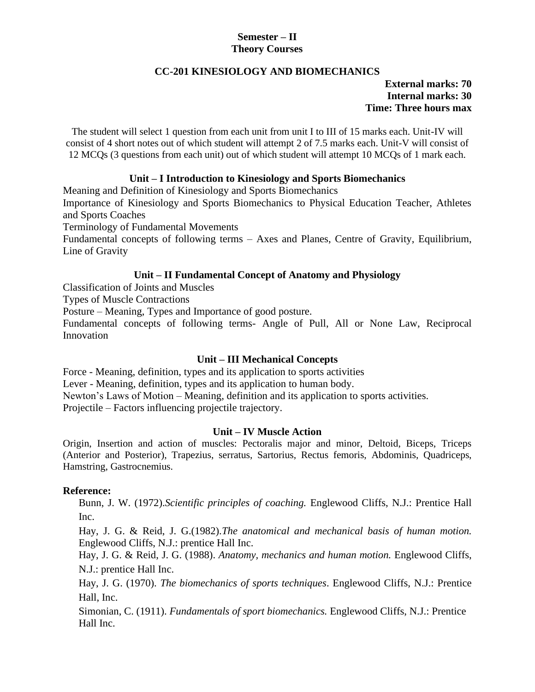## **Semester – II Theory Courses**

## **CC-201 KINESIOLOGY AND BIOMECHANICS**

## **External marks: 70 Internal marks: 30 Time: Three hours max**

The student will select 1 question from each unit from unit I to III of 15 marks each. Unit-IV will consist of 4 short notes out of which student will attempt 2 of 7.5 marks each. Unit-V will consist of 12 MCQs (3 questions from each unit) out of which student will attempt 10 MCQs of 1 mark each.

## **Unit – I Introduction to Kinesiology and Sports Biomechanics**

Meaning and Definition of Kinesiology and Sports Biomechanics

Importance of Kinesiology and Sports Biomechanics to Physical Education Teacher, Athletes and Sports Coaches

Terminology of Fundamental Movements

Fundamental concepts of following terms – Axes and Planes, Centre of Gravity, Equilibrium, Line of Gravity

### **Unit – II Fundamental Concept of Anatomy and Physiology**

Classification of Joints and Muscles

Types of Muscle Contractions

Posture – Meaning, Types and Importance of good posture.

Fundamental concepts of following terms- Angle of Pull, All or None Law, Reciprocal Innovation

### **Unit – III Mechanical Concepts**

Force - Meaning, definition, types and its application to sports activities Lever - Meaning, definition, types and its application to human body. Newton's Laws of Motion – Meaning, definition and its application to sports activities. Projectile – Factors influencing projectile trajectory.

### **Unit – IV Muscle Action**

Origin, Insertion and action of muscles: Pectoralis major and minor, Deltoid, Biceps, Triceps (Anterior and Posterior), Trapezius, serratus, Sartorius, Rectus femoris, Abdominis, Quadriceps, Hamstring, Gastrocnemius.

### **Reference:**

Bunn, J. W. (1972).*Scientific principles of coaching.* Englewood Cliffs, N.J.: Prentice Hall Inc.

Hay, J. G. & Reid, J. G.(1982).*The anatomical and mechanical basis of human motion.* Englewood Cliffs, N.J.: prentice Hall Inc.

Hay, J. G. & Reid, J. G. (1988). *Anatomy, mechanics and human motion.* Englewood Cliffs, N.J.: prentice Hall Inc.

Hay, J. G. (1970). *The biomechanics of sports techniques*. Englewood Cliffs, N.J.: Prentice Hall, Inc.

Simonian, C. (1911). *Fundamentals of sport biomechanics.* Englewood Cliffs, N.J.: Prentice Hall Inc.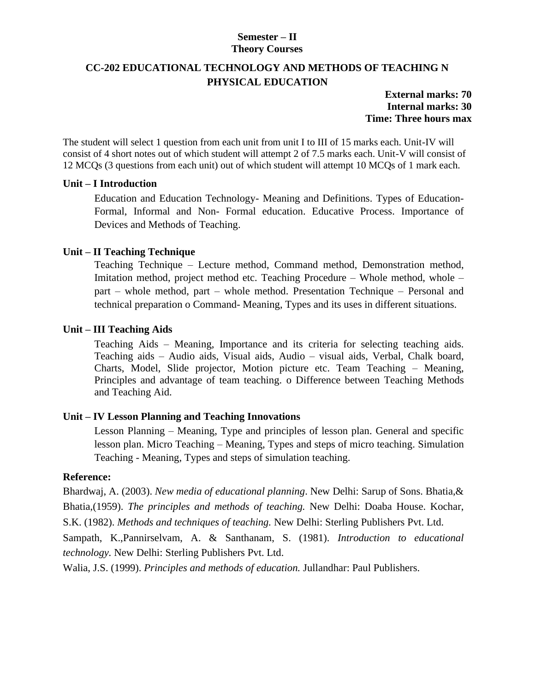## **Semester – II Theory Courses**

## **CC-202 EDUCATIONAL TECHNOLOGY AND METHODS OF TEACHING N PHYSICAL EDUCATION**

**External marks: 70 Internal marks: 30 Time: Three hours max**

The student will select 1 question from each unit from unit I to III of 15 marks each. Unit-IV will consist of 4 short notes out of which student will attempt 2 of 7.5 marks each. Unit-V will consist of 12 MCQs (3 questions from each unit) out of which student will attempt 10 MCQs of 1 mark each.

### **Unit – I Introduction**

Education and Education Technology- Meaning and Definitions. Types of Education-Formal, Informal and Non- Formal education. Educative Process. Importance of Devices and Methods of Teaching.

## **Unit – II Teaching Technique**

Teaching Technique – Lecture method, Command method, Demonstration method, Imitation method, project method etc. Teaching Procedure – Whole method, whole – part – whole method, part – whole method. Presentation Technique – Personal and technical preparation o Command- Meaning, Types and its uses in different situations.

## **Unit – III Teaching Aids**

Teaching Aids – Meaning, Importance and its criteria for selecting teaching aids. Teaching aids – Audio aids, Visual aids, Audio – visual aids, Verbal, Chalk board, Charts, Model, Slide projector, Motion picture etc. Team Teaching – Meaning, Principles and advantage of team teaching. o Difference between Teaching Methods and Teaching Aid.

## **Unit – IV Lesson Planning and Teaching Innovations**

Lesson Planning – Meaning, Type and principles of lesson plan. General and specific lesson plan. Micro Teaching – Meaning, Types and steps of micro teaching. Simulation Teaching - Meaning, Types and steps of simulation teaching.

### **Reference:**

Bhardwaj, A. (2003). *New media of educational planning*. New Delhi: Sarup of Sons. Bhatia,& Bhatia,(1959). *The principles and methods of teaching.* New Delhi: Doaba House. Kochar, S.K. (1982). *Methods and techniques of teaching.* New Delhi: Sterling Publishers Pvt. Ltd.

Sampath, K.,Pannirselvam, A. & Santhanam, S. (1981). *Introduction to educational technology.* New Delhi: Sterling Publishers Pvt. Ltd.

Walia, J.S. (1999). *Principles and methods of education.* Jullandhar: Paul Publishers.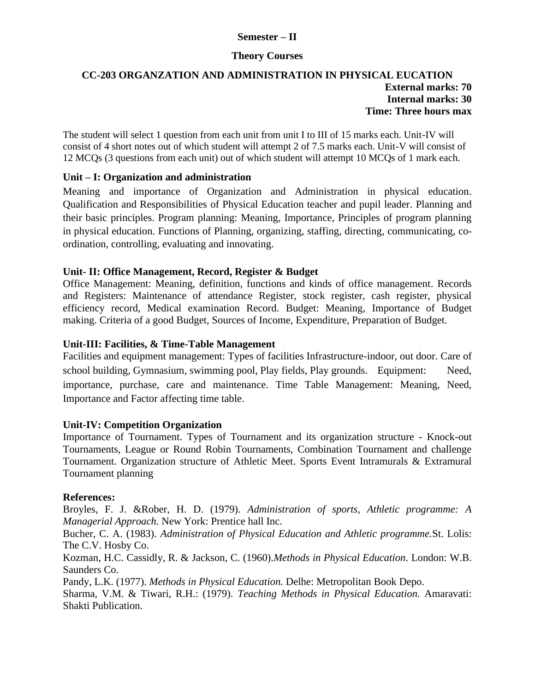## **Semester – II**

### **Theory Courses**

## **CC-203 ORGANZATION AND ADMINISTRATION IN PHYSICAL EUCATION External marks: 70 Internal marks: 30 Time: Three hours max**

The student will select 1 question from each unit from unit I to III of 15 marks each. Unit-IV will consist of 4 short notes out of which student will attempt 2 of 7.5 marks each. Unit-V will consist of 12 MCQs (3 questions from each unit) out of which student will attempt 10 MCQs of 1 mark each.

## **Unit – I: Organization and administration**

Meaning and importance of Organization and Administration in physical education. Qualification and Responsibilities of Physical Education teacher and pupil leader. Planning and their basic principles. Program planning: Meaning, Importance, Principles of program planning in physical education. Functions of Planning, organizing, staffing, directing, communicating, coordination, controlling, evaluating and innovating.

## **Unit- II: Office Management, Record, Register & Budget**

Office Management: Meaning, definition, functions and kinds of office management. Records and Registers: Maintenance of attendance Register, stock register, cash register, physical efficiency record, Medical examination Record. Budget: Meaning, Importance of Budget making. Criteria of a good Budget, Sources of Income, Expenditure, Preparation of Budget.

## **Unit-III: Facilities, & Time-Table Management**

Facilities and equipment management: Types of facilities Infrastructure-indoor, out door. Care of school building, Gymnasium, swimming pool, Play fields, Play grounds. Equipment: Need, importance, purchase, care and maintenance. Time Table Management: Meaning, Need, Importance and Factor affecting time table.

### **Unit-IV: Competition Organization**

Importance of Tournament. Types of Tournament and its organization structure - Knock-out Tournaments, League or Round Robin Tournaments, Combination Tournament and challenge Tournament. Organization structure of Athletic Meet. Sports Event Intramurals & Extramural Tournament planning

### **References:**

Broyles, F. J. &Rober, H. D. (1979). *Administration of sports, Athletic programme: A Managerial Approach.* New York: Prentice hall Inc.

Bucher, C. A. (1983). *Administration of Physical Education and Athletic programme.*St. Lolis: The C.V. Hosby Co.

Kozman, H.C. Cassidly, R. & Jackson, C. (1960).*Methods in Physical Education*. London: W.B. Saunders Co.

Pandy, L.K. (1977). *Methods in Physical Education.* Delhe: Metropolitan Book Depo.

Sharma, V.M. & Tiwari, R.H.: (1979). *Teaching Methods in Physical Education.* Amaravati: Shakti Publication.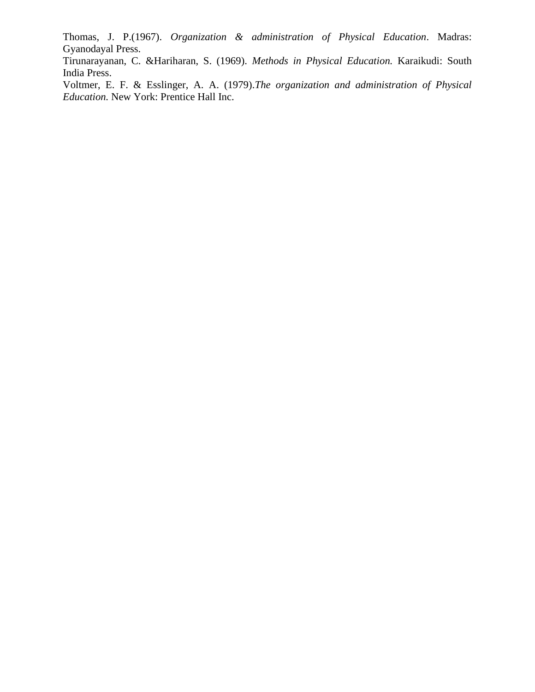Thomas, J. P.(1967). *Organization & administration of Physical Education*. Madras: Gyanodayal Press.

Tirunarayanan, C. &Hariharan, S. (1969). *Methods in Physical Education.* Karaikudi: South India Press.

Voltmer, E. F. & Esslinger, A. A. (1979).*The organization and administration of Physical Education.* New York: Prentice Hall Inc.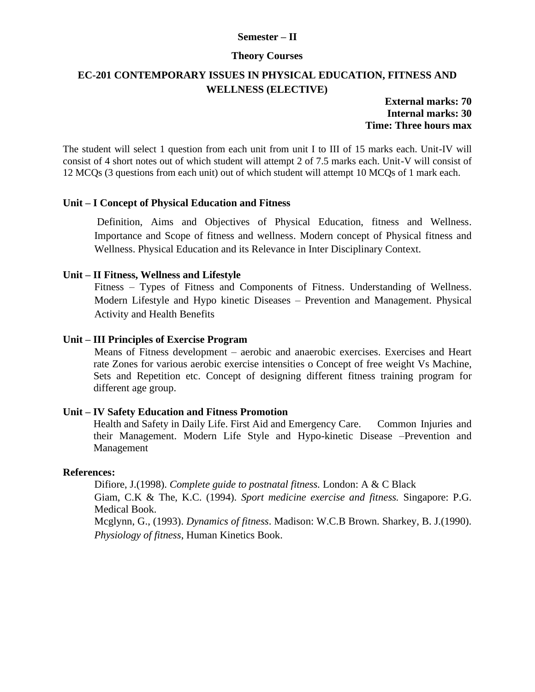#### **Semester – II**

#### **Theory Courses**

## **EC-201 CONTEMPORARY ISSUES IN PHYSICAL EDUCATION, FITNESS AND WELLNESS (ELECTIVE)**

**External marks: 70 Internal marks: 30 Time: Three hours max**

The student will select 1 question from each unit from unit I to III of 15 marks each. Unit-IV will consist of 4 short notes out of which student will attempt 2 of 7.5 marks each. Unit-V will consist of 12 MCQs (3 questions from each unit) out of which student will attempt 10 MCQs of 1 mark each.

### **Unit – I Concept of Physical Education and Fitness**

Definition, Aims and Objectives of Physical Education, fitness and Wellness. Importance and Scope of fitness and wellness. Modern concept of Physical fitness and Wellness. Physical Education and its Relevance in Inter Disciplinary Context.

#### **Unit – II Fitness, Wellness and Lifestyle**

Fitness – Types of Fitness and Components of Fitness. Understanding of Wellness. Modern Lifestyle and Hypo kinetic Diseases – Prevention and Management. Physical Activity and Health Benefits

#### **Unit – III Principles of Exercise Program**

Means of Fitness development – aerobic and anaerobic exercises. Exercises and Heart rate Zones for various aerobic exercise intensities o Concept of free weight Vs Machine, Sets and Repetition etc. Concept of designing different fitness training program for different age group.

#### **Unit – IV Safety Education and Fitness Promotion**

Health and Safety in Daily Life. First Aid and Emergency Care. Common Injuries and their Management. Modern Life Style and Hypo-kinetic Disease –Prevention and Management

#### **References:**

Difiore, J.(1998). *Complete guide to postnatal fitness.* London: A & C Black Giam, C.K & The, K.C. (1994). *Sport medicine exercise and fitness.* Singapore: P.G. Medical Book. Mcglynn, G., (1993). *Dynamics of fitness*. Madison: W.C.B Brown. Sharkey, B. J.(1990). *Physiology of fitness*, Human Kinetics Book.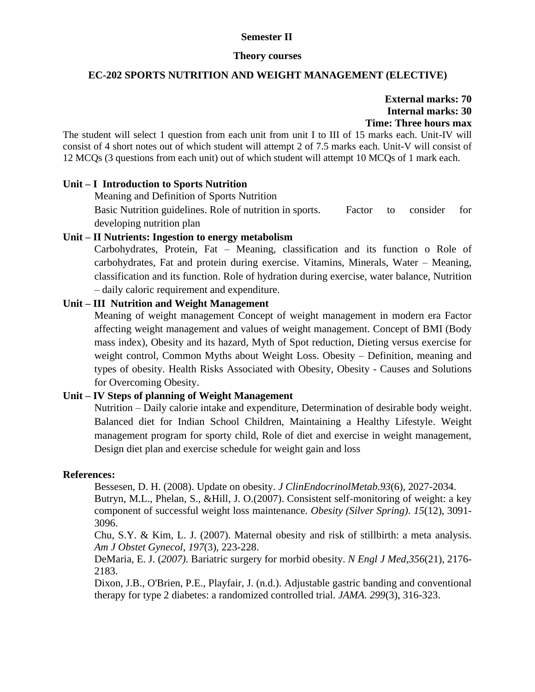### **Semester II**

#### **Theory courses**

#### **EC-202 SPORTS NUTRITION AND WEIGHT MANAGEMENT (ELECTIVE)**

## **External marks: 70 Internal marks: 30 Time: Three hours max**

The student will select 1 question from each unit from unit I to III of 15 marks each. Unit-IV will consist of 4 short notes out of which student will attempt 2 of 7.5 marks each. Unit-V will consist of 12 MCQs (3 questions from each unit) out of which student will attempt 10 MCQs of 1 mark each.

### **Unit – I Introduction to Sports Nutrition**

Meaning and Definition of Sports Nutrition Basic Nutrition guidelines. Role of nutrition in sports. Factor to consider for developing nutrition plan

## **Unit – II Nutrients: Ingestion to energy metabolism**

Carbohydrates, Protein, Fat – Meaning, classification and its function o Role of carbohydrates, Fat and protein during exercise. Vitamins, Minerals, Water – Meaning, classification and its function. Role of hydration during exercise, water balance, Nutrition – daily caloric requirement and expenditure.

### **Unit – III Nutrition and Weight Management**

Meaning of weight management Concept of weight management in modern era Factor affecting weight management and values of weight management. Concept of BMI (Body mass index), Obesity and its hazard, Myth of Spot reduction, Dieting versus exercise for weight control, Common Myths about Weight Loss. Obesity – Definition, meaning and types of obesity. Health Risks Associated with Obesity, Obesity - Causes and Solutions for Overcoming Obesity.

### **Unit – IV Steps of planning of Weight Management**

Nutrition – Daily calorie intake and expenditure, Determination of desirable body weight. Balanced diet for Indian School Children, Maintaining a Healthy Lifestyle. Weight management program for sporty child, Role of diet and exercise in weight management, Design diet plan and exercise schedule for weight gain and loss

#### **References:**

Bessesen, D. H. (2008). Update on obesity. *J ClinEndocrinolMetab.93*(6), 2027-2034.

Butryn, M.L., Phelan, S., &Hill, J. O.(2007). Consistent self-monitoring of weight: a key component of successful weight loss maintenance. *Obesity (Silver Spring)*. *15*(12), 3091- 3096.

Chu, S.Y. & Kim, L. J. (2007). Maternal obesity and risk of stillbirth: a meta analysis. *Am J Obstet Gynecol*, *197*(3), 223-228.

DeMaria, E. J. (*2007).* Bariatric surgery for morbid obesity. *N Engl J Med,356*(21), 2176- 2183.

Dixon, J.B., O'Brien, P.E., Playfair, J. (n.d.). Adjustable gastric banding and conventional therapy for type 2 diabetes: a randomized controlled trial. *JAMA. 299*(3), 316-323.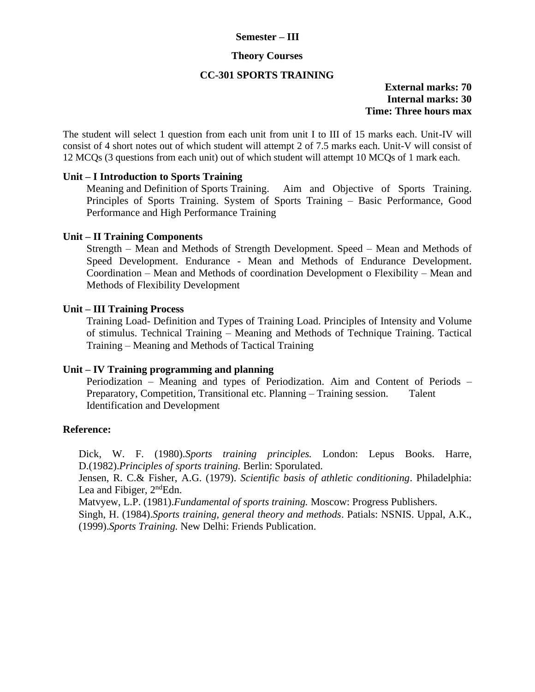#### **Semester – III**

#### **Theory Courses**

## **CC-301 SPORTS TRAINING**

### **External marks: 70 Internal marks: 30 Time: Three hours max**

The student will select 1 question from each unit from unit I to III of 15 marks each. Unit-IV will consist of 4 short notes out of which student will attempt 2 of 7.5 marks each. Unit-V will consist of 12 MCQs (3 questions from each unit) out of which student will attempt 10 MCQs of 1 mark each.

### **Unit – I Introduction to Sports Training**

Meaning and Definition of Sports Training. Aim and Objective of Sports Training. Principles of Sports Training. System of Sports Training – Basic Performance, Good Performance and High Performance Training

### **Unit – II Training Components**

Strength – Mean and Methods of Strength Development. Speed – Mean and Methods of Speed Development. Endurance - Mean and Methods of Endurance Development. Coordination – Mean and Methods of coordination Development o Flexibility – Mean and Methods of Flexibility Development

### **Unit – III Training Process**

Training Load- Definition and Types of Training Load. Principles of Intensity and Volume of stimulus. Technical Training – Meaning and Methods of Technique Training. Tactical Training – Meaning and Methods of Tactical Training

#### **Unit – IV Training programming and planning**

Periodization – Meaning and types of Periodization. Aim and Content of Periods – Preparatory, Competition, Transitional etc. Planning – Training session. Talent Identification and Development

#### **Reference:**

Dick, W. F. (1980).*Sports training principles.* London: Lepus Books. Harre, D.(1982).*Principles of sports training.* Berlin: Sporulated.

Jensen, R. C.& Fisher, A.G. (1979). *Scientific basis of athletic conditioning*. Philadelphia: Lea and Fibiger,  $2<sup>nd</sup>Edn$ .

Matvyew, L.P. (1981).*Fundamental of sports training.* Moscow: Progress Publishers.

Singh, H. (1984).*Sports training, general theory and methods*. Patials: NSNIS. Uppal, A.K., (1999).*Sports Training.* New Delhi: Friends Publication.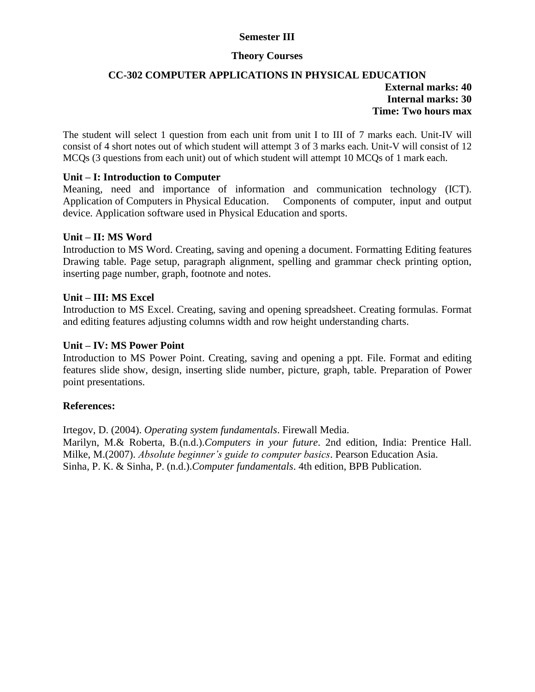## **Semester III**

#### **Theory Courses**

### **CC-302 COMPUTER APPLICATIONS IN PHYSICAL EDUCATION External marks: 40 Internal marks: 30 Time: Two hours max**

The student will select 1 question from each unit from unit I to III of 7 marks each. Unit-IV will consist of 4 short notes out of which student will attempt 3 of 3 marks each. Unit-V will consist of 12 MCQs (3 questions from each unit) out of which student will attempt 10 MCQs of 1 mark each.

### **Unit – I: Introduction to Computer**

Meaning, need and importance of information and communication technology (ICT). Application of Computers in Physical Education. Components of computer, input and output device. Application software used in Physical Education and sports.

#### **Unit – II: MS Word**

Introduction to MS Word. Creating, saving and opening a document. Formatting Editing features Drawing table. Page setup, paragraph alignment, spelling and grammar check printing option, inserting page number, graph, footnote and notes.

### **Unit – III: MS Excel**

Introduction to MS Excel. Creating, saving and opening spreadsheet. Creating formulas. Format and editing features adjusting columns width and row height understanding charts.

#### **Unit – IV: MS Power Point**

Introduction to MS Power Point. Creating, saving and opening a ppt. File. Format and editing features slide show, design, inserting slide number, picture, graph, table. Preparation of Power point presentations.

#### **References:**

Irtegov, D. (2004). *Operating system fundamentals*. Firewall Media. Marilyn, M.& Roberta, B.(n.d.).*Computers in your future*. 2nd edition, India: Prentice Hall. Milke, M.(2007). *Absolute beginner's guide to computer basics*. Pearson Education Asia. Sinha, P. K. & Sinha, P. (n.d.).*Computer fundamentals*. 4th edition, BPB Publication.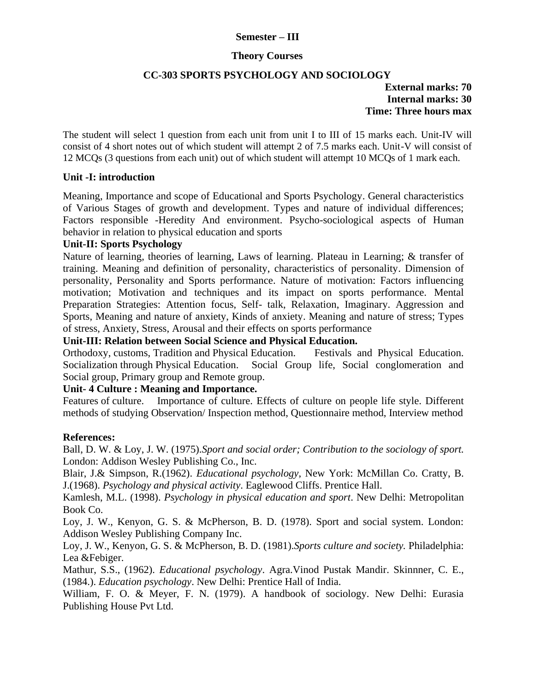### **Semester – III**

#### **Theory Courses**

### **CC-303 SPORTS PSYCHOLOGY AND SOCIOLOGY**

**External marks: 70 Internal marks: 30 Time: Three hours max**

The student will select 1 question from each unit from unit I to III of 15 marks each. Unit-IV will consist of 4 short notes out of which student will attempt 2 of 7.5 marks each. Unit-V will consist of 12 MCQs (3 questions from each unit) out of which student will attempt 10 MCQs of 1 mark each.

### **Unit -I: introduction**

Meaning, Importance and scope of Educational and Sports Psychology. General characteristics of Various Stages of growth and development. Types and nature of individual differences; Factors responsible -Heredity And environment. Psycho-sociological aspects of Human behavior in relation to physical education and sports

### **Unit-II: Sports Psychology**

Nature of learning, theories of learning, Laws of learning. Plateau in Learning; & transfer of training. Meaning and definition of personality, characteristics of personality. Dimension of personality, Personality and Sports performance. Nature of motivation: Factors influencing motivation; Motivation and techniques and its impact on sports performance. Mental Preparation Strategies: Attention focus, Self- talk, Relaxation, Imaginary. Aggression and Sports, Meaning and nature of anxiety, Kinds of anxiety. Meaning and nature of stress; Types of stress, Anxiety, Stress, Arousal and their effects on sports performance

**Unit-III: Relation between Social Science and Physical Education.**

Orthodoxy, customs, Tradition and Physical Education. Festivals and Physical Education. Socialization through Physical Education. Social Group life, Social conglomeration and Social group, Primary group and Remote group.

### **Unit- 4 Culture : Meaning and Importance.**

Features of culture. Importance of culture. Effects of culture on people life style. Different methods of studying Observation/ Inspection method, Questionnaire method, Interview method

### **References:**

Ball, D. W. & Loy, J. W. (1975).*Sport and social order; Contribution to the sociology of sport.* London: Addison Wesley Publishing Co., Inc.

Blair, J.& Simpson, R.(1962). *Educational psychology*, New York: McMillan Co. Cratty, B. J.(1968). *Psychology and physical activity*. Eaglewood Cliffs. Prentice Hall.

Kamlesh, M.L. (1998). *Psychology in physical education and sport*. New Delhi: Metropolitan Book Co.

Loy, J. W., Kenyon, G. S. & McPherson, B. D. (1978). Sport and social system. London: Addison Wesley Publishing Company Inc.

Loy, J. W., Kenyon, G. S. & McPherson, B. D. (1981).*Sports culture and society.* Philadelphia: Lea &Febiger.

Mathur, S.S., (1962). *Educational psychology*. Agra.Vinod Pustak Mandir. Skinnner, C. E., (1984.). *Education psychology*. New Delhi: Prentice Hall of India.

William, F. O. & Meyer, F. N. (1979). A handbook of sociology. New Delhi: Eurasia Publishing House Pvt Ltd.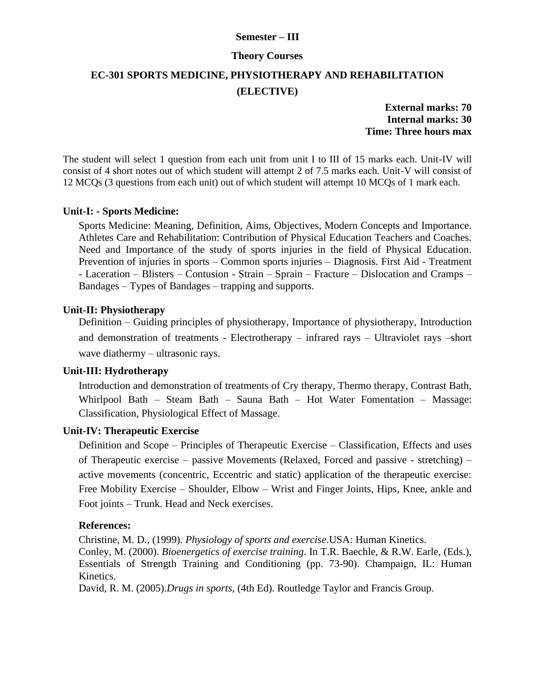### **Semester – III**

#### **Theory Courses**

## **EC-301 SPORTS MEDICINE, PHYSIOTHERAPY AND REHABILITATION (ELECTIVE)**

**External marks: 70 Internal marks: 30 Time: Three hours max**

The student will select 1 question from each unit from unit I to III of 15 marks each. Unit-IV will consist of 4 short notes out of which student will attempt 2 of 7.5 marks each. Unit-V will consist of 12 MCQs (3 questions from each unit) out of which student will attempt 10 MCQs of 1 mark each.

#### **Unit-I: - Sports Medicine:**

Sports Medicine: Meaning, Definition, Aims, Objectives, Modern Concepts and Importance. Athletes Care and Rehabilitation: Contribution of Physical Education Teachers and Coaches. Need and Importance of the study of sports injuries in the field of Physical Education. Prevention of injuries in sports – Common sports injuries – Diagnosis. First Aid - Treatment - Laceration – Blisters – Contusion - Strain – Sprain – Fracture – Dislocation and Cramps – Bandages – Types of Bandages – trapping and supports.

## **Unit-II: Physiotherapy**

Definition – Guiding principles of physiotherapy, Importance of physiotherapy, Introduction and demonstration of treatments - Electrotherapy – infrared rays – Ultraviolet rays –short wave diathermy – ultrasonic rays.

### **Unit-III: Hydrotherapy**

Introduction and demonstration of treatments of Cry therapy, Thermo therapy, Contrast Bath, Whirlpool Bath – Steam Bath – Sauna Bath – Hot Water Fomentation – Massage: Classification, Physiological Effect of Massage.

#### **Unit-IV: Therapeutic Exercise**

Definition and Scope – Principles of Therapeutic Exercise – Classification, Effects and uses of Therapeutic exercise – passive Movements (Relaxed, Forced and passive - stretching) – active movements (concentric, Eccentric and static) application of the therapeutic exercise: Free Mobility Exercise – Shoulder, Elbow – Wrist and Finger Joints, Hips, Knee, ankle and Foot joints – Trunk. Head and Neck exercises.

#### **References:**

Christine, M. D., (1999). *Physiology of sports and exercise*.USA: Human Kinetics. Conley, M. (2000). *Bioenergetics of exercise training*. In T.R. Baechle, & R.W. Earle, (Eds.), Essentials of Strength Training and Conditioning (pp. 73-90). Champaign, IL: Human Kinetics.

David, R. M. (2005).*Drugs in sports,* (4th Ed). Routledge Taylor and Francis Group.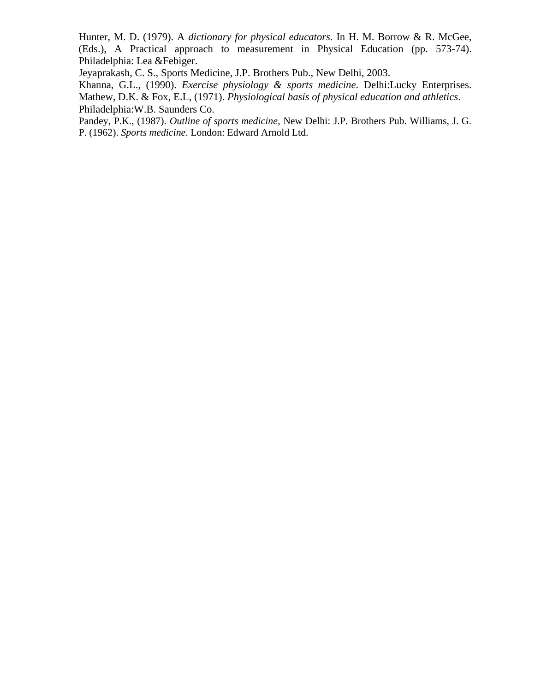Hunter, M. D. (1979). A *dictionary for physical educators.* In H. M. Borrow & R. McGee, (Eds.), A Practical approach to measurement in Physical Education (pp. 573-74). Philadelphia: Lea &Febiger.

Jeyaprakash, C. S., Sports Medicine, J.P. Brothers Pub., New Delhi, 2003.

Khanna, G.L., (1990). *Exercise physiology & sports medicine*. Delhi:Lucky Enterprises. Mathew, D.K. & Fox, E.L, (1971). *Physiological basis of physical education and athletics*. Philadelphia:W.B. Saunders Co.

Pandey, P.K., (1987). *Outline of sports medicine*, New Delhi: J.P. Brothers Pub. Williams, J. G. P. (1962). *Sports medicine*. London: Edward Arnold Ltd.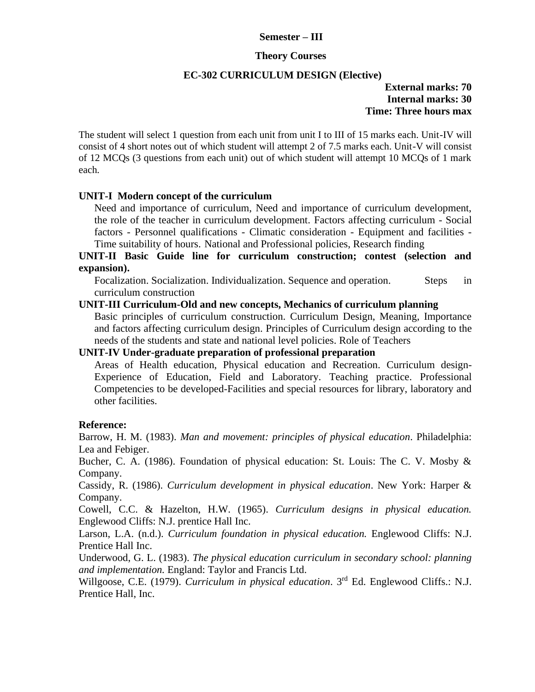### **Semester – III**

#### **Theory Courses**

#### **EC-302 CURRICULUM DESIGN (Elective)**

### **External marks: 70 Internal marks: 30 Time: Three hours max**

The student will select 1 question from each unit from unit I to III of 15 marks each. Unit-IV will consist of 4 short notes out of which student will attempt 2 of 7.5 marks each. Unit-V will consist of 12 MCQs (3 questions from each unit) out of which student will attempt 10 MCQs of 1 mark each.

### **UNIT-I Modern concept of the curriculum**

Need and importance of curriculum, Need and importance of curriculum development, the role of the teacher in curriculum development. Factors affecting curriculum - Social factors - Personnel qualifications - Climatic consideration - Equipment and facilities - Time suitability of hours. National and Professional policies, Research finding

## **UNIT-II Basic Guide line for curriculum construction; contest (selection and expansion).**

Focalization. Socialization. Individualization. Sequence and operation. Steps in curriculum construction

#### **UNIT-III Curriculum-Old and new concepts, Mechanics of curriculum planning**

Basic principles of curriculum construction. Curriculum Design, Meaning, Importance and factors affecting curriculum design. Principles of Curriculum design according to the needs of the students and state and national level policies. Role of Teachers

### **UNIT-IV Under-graduate preparation of professional preparation**

Areas of Health education, Physical education and Recreation. Curriculum design-Experience of Education, Field and Laboratory. Teaching practice. Professional Competencies to be developed-Facilities and special resources for library, laboratory and other facilities.

#### **Reference:**

Barrow, H. M. (1983). *Man and movement: principles of physical education*. Philadelphia: Lea and Febiger.

Bucher, C. A. (1986). Foundation of physical education: St. Louis: The C. V. Mosby & Company.

Cassidy, R. (1986). *Curriculum development in physical education*. New York: Harper & Company.

Cowell, C.C. & Hazelton, H.W. (1965). *Curriculum designs in physical education.* Englewood Cliffs: N.J. prentice Hall Inc.

Larson, L.A. (n.d.). *Curriculum foundation in physical education.* Englewood Cliffs: N.J. Prentice Hall Inc.

Underwood, G. L. (1983). *The physical education curriculum in secondary school: planning and implementation.* England: Taylor and Francis Ltd.

Willgoose, C.E. (1979). *Curriculum in physical education*. 3rd Ed. Englewood Cliffs.: N.J. Prentice Hall, Inc.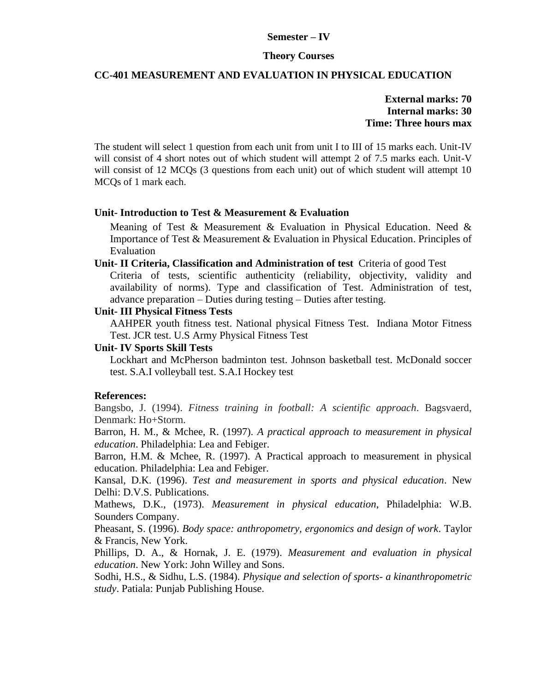#### **Semester – IV**

#### **Theory Courses**

### **CC-401 MEASUREMENT AND EVALUATION IN PHYSICAL EDUCATION**

**External marks: 70 Internal marks: 30 Time: Three hours max**

The student will select 1 question from each unit from unit I to III of 15 marks each. Unit-IV will consist of 4 short notes out of which student will attempt 2 of 7.5 marks each. Unit-V will consist of 12 MCQs (3 questions from each unit) out of which student will attempt 10 MCQs of 1 mark each.

#### **Unit- Introduction to Test & Measurement & Evaluation**

Meaning of Test & Measurement & Evaluation in Physical Education. Need  $\&$ Importance of Test & Measurement & Evaluation in Physical Education. Principles of Evaluation

**Unit- II Criteria, Classification and Administration of test** Criteria of good Test

Criteria of tests, scientific authenticity (reliability, objectivity, validity and availability of norms). Type and classification of Test. Administration of test, advance preparation – Duties during testing – Duties after testing.

#### **Unit- III Physical Fitness Tests**

AAHPER youth fitness test. National physical Fitness Test. Indiana Motor Fitness Test. JCR test. U.S Army Physical Fitness Test

#### **Unit- IV Sports Skill Tests**

Lockhart and McPherson badminton test. Johnson basketball test. McDonald soccer test. S.A.I volleyball test. S.A.I Hockey test

#### **References:**

Bangsbo, J. (1994). *Fitness training in football: A scientific approach*. Bagsvaerd, Denmark: Ho+Storm.

Barron, H. M., & Mchee, R. (1997). *A practical approach to measurement in physical education*. Philadelphia: Lea and Febiger.

Barron, H.M. & Mchee, R. (1997). A Practical approach to measurement in physical education. Philadelphia: Lea and Febiger.

Kansal, D.K. (1996). *Test and measurement in sports and physical education*. New Delhi: D.V.S. Publications.

Mathews, D.K., (1973). *Measurement in physical education*, Philadelphia: W.B. Sounders Company.

Pheasant, S. (1996). *Body space: anthropometry, ergonomics and design of work*. Taylor & Francis, New York.

Phillips, D. A., & Hornak, J. E. (1979). *Measurement and evaluation in physical education*. New York: John Willey and Sons.

Sodhi, H.S., & Sidhu, L.S. (1984). *Physique and selection of sports- a kinanthropometric study*. Patiala: Punjab Publishing House.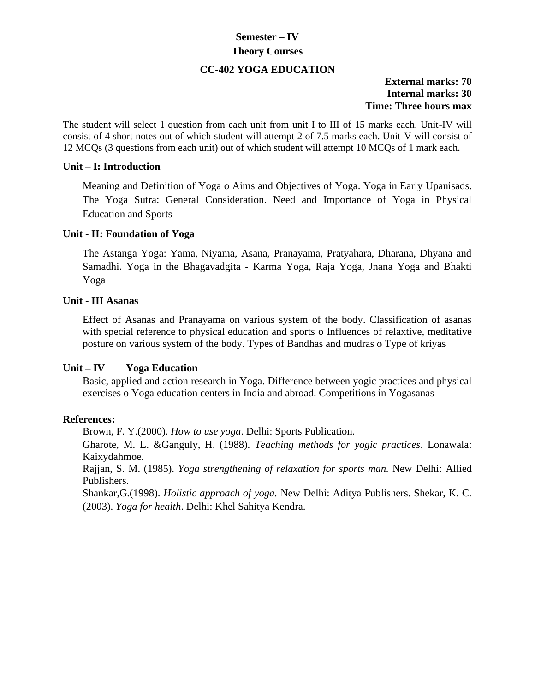## **Semester – IV Theory Courses**

## **CC-402 YOGA EDUCATION**

## **External marks: 70 Internal marks: 30 Time: Three hours max**

The student will select 1 question from each unit from unit I to III of 15 marks each. Unit-IV will consist of 4 short notes out of which student will attempt 2 of 7.5 marks each. Unit-V will consist of 12 MCQs (3 questions from each unit) out of which student will attempt 10 MCQs of 1 mark each.

### **Unit – I: Introduction**

Meaning and Definition of Yoga o Aims and Objectives of Yoga. Yoga in Early Upanisads. The Yoga Sutra: General Consideration. Need and Importance of Yoga in Physical Education and Sports

### **Unit - II: Foundation of Yoga**

The Astanga Yoga: Yama, Niyama, Asana, Pranayama, Pratyahara, Dharana, Dhyana and Samadhi. Yoga in the Bhagavadgita - Karma Yoga, Raja Yoga, Jnana Yoga and Bhakti Yoga

### **Unit - III Asanas**

Effect of Asanas and Pranayama on various system of the body. Classification of asanas with special reference to physical education and sports o Influences of relaxtive, meditative posture on various system of the body. Types of Bandhas and mudras o Type of kriyas

### **Unit – IV Yoga Education**

Basic, applied and action research in Yoga. Difference between yogic practices and physical exercises o Yoga education centers in India and abroad. Competitions in Yogasanas

#### **References:**

Brown, F. Y.(2000). *How to use yoga*. Delhi: Sports Publication.

Gharote, M. L. &Ganguly, H. (1988). *Teaching methods for yogic practices*. Lonawala: Kaixydahmoe.

Rajjan, S. M. (1985). *Yoga strengthening of relaxation for sports man.* New Delhi: Allied Publishers.

Shankar,G.(1998). *Holistic approach of yoga.* New Delhi: Aditya Publishers. Shekar, K. C. (2003). *Yoga for health*. Delhi: Khel Sahitya Kendra.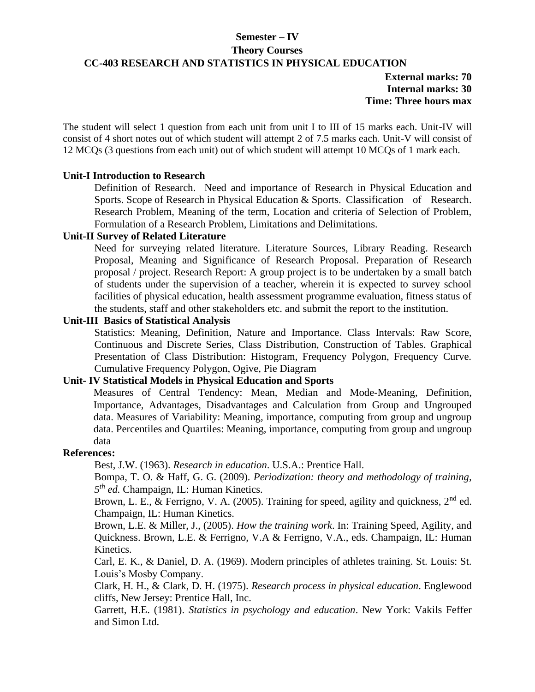### **Semester – IV**

#### **Theory Courses**

### **CC-403 RESEARCH AND STATISTICS IN PHYSICAL EDUCATION**

**External marks: 70 Internal marks: 30 Time: Three hours max**

The student will select 1 question from each unit from unit I to III of 15 marks each. Unit-IV will consist of 4 short notes out of which student will attempt 2 of 7.5 marks each. Unit-V will consist of 12 MCQs (3 questions from each unit) out of which student will attempt 10 MCQs of 1 mark each.

### **Unit-I Introduction to Research**

Definition of Research. Need and importance of Research in Physical Education and Sports. Scope of Research in Physical Education & Sports. Classification of Research. Research Problem, Meaning of the term, Location and criteria of Selection of Problem, Formulation of a Research Problem, Limitations and Delimitations.

## **Unit-II Survey of Related Literature**

Need for surveying related literature. Literature Sources, Library Reading. Research Proposal, Meaning and Significance of Research Proposal. Preparation of Research proposal / project. Research Report: A group project is to be undertaken by a small batch of students under the supervision of a teacher, wherein it is expected to survey school facilities of physical education, health assessment programme evaluation, fitness status of the students, staff and other stakeholders etc. and submit the report to the institution.

## **Unit-III Basics of Statistical Analysis**

Statistics: Meaning, Definition, Nature and Importance. Class Intervals: Raw Score, Continuous and Discrete Series, Class Distribution, Construction of Tables. Graphical Presentation of Class Distribution: Histogram, Frequency Polygon, Frequency Curve. Cumulative Frequency Polygon, Ogive, Pie Diagram

## **Unit- IV Statistical Models in Physical Education and Sports**

Measures of Central Tendency: Mean, Median and Mode-Meaning, Definition, Importance, Advantages, Disadvantages and Calculation from Group and Ungrouped data. Measures of Variability: Meaning, importance, computing from group and ungroup data. Percentiles and Quartiles: Meaning, importance, computing from group and ungroup data

## **References:**

Best, J.W. (1963). *Research in education*. U.S.A.: Prentice Hall.

Bompa, T. O. & Haff, G. G. (2009). *Periodization: theory and methodology of training, 5 th ed.* Champaign, IL: Human Kinetics.

Brown, L. E.,  $\&$  Ferrigno, V. A. (2005). Training for speed, agility and quickness,  $2<sup>nd</sup>$  ed. Champaign, IL: Human Kinetics.

Brown, L.E. & Miller, J., (2005). *How the training work*. In: Training Speed, Agility, and Quickness. Brown, L.E. & Ferrigno, V.A & Ferrigno, V.A., eds. Champaign, IL: Human Kinetics.

Carl, E. K., & Daniel, D. A. (1969). Modern principles of athletes training. St. Louis: St. Louis's Mosby Company.

Clark, H. H., & Clark, D. H. (1975). *Research process in physical education*. Englewood cliffs, New Jersey: Prentice Hall, Inc.

Garrett, H.E. (1981). *Statistics in psychology and education*. New York: Vakils Feffer and Simon Ltd.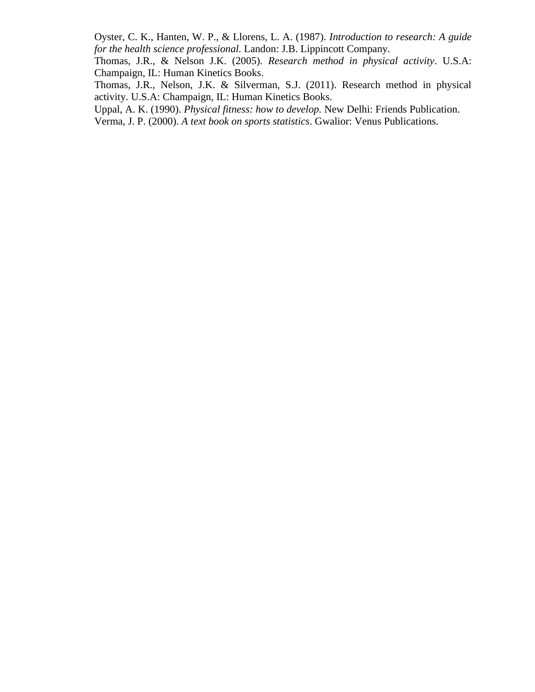Oyster, C. K., Hanten, W. P., & Llorens, L. A. (1987). *Introduction to research: A guide for the health science professional.* Landon: J.B. Lippincott Company.

Thomas, J.R., & Nelson J.K. (2005). *Research method in physical activity*. U.S.A: Champaign, IL: Human Kinetics Books.

Thomas, J.R., Nelson, J.K. & Silverman, S.J. (2011). Research method in physical activity. U.S.A: Champaign, IL: Human Kinetics Books.

Uppal, A. K. (1990). *Physical fitness: how to develop.* New Delhi: Friends Publication.

Verma, J. P. (2000). *A text book on sports statistics*. Gwalior: Venus Publications.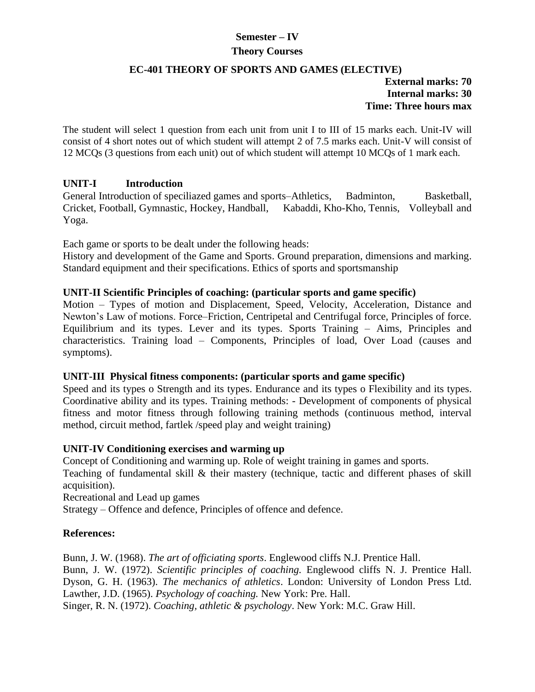# **Semester – IV**

## **Theory Courses**

## **EC-401 THEORY OF SPORTS AND GAMES (ELECTIVE)**

**External marks: 70 Internal marks: 30 Time: Three hours max**

The student will select 1 question from each unit from unit I to III of 15 marks each. Unit-IV will consist of 4 short notes out of which student will attempt 2 of 7.5 marks each. Unit-V will consist of 12 MCQs (3 questions from each unit) out of which student will attempt 10 MCQs of 1 mark each.

### **UNIT-I Introduction**

General Introduction of speciliazed games and sports–Athletics, Badminton, Basketball, Cricket, Football, Gymnastic, Hockey, Handball, Kabaddi, Kho-Kho, Tennis, Volleyball and Yoga.

Each game or sports to be dealt under the following heads:

History and development of the Game and Sports. Ground preparation, dimensions and marking. Standard equipment and their specifications. Ethics of sports and sportsmanship

## **UNIT-II Scientific Principles of coaching: (particular sports and game specific)**

Motion – Types of motion and Displacement, Speed, Velocity, Acceleration, Distance and Newton's Law of motions. Force–Friction, Centripetal and Centrifugal force, Principles of force. Equilibrium and its types. Lever and its types. Sports Training – Aims, Principles and characteristics. Training load – Components, Principles of load, Over Load (causes and symptoms).

### **UNIT-III Physical fitness components: (particular sports and game specific)**

Speed and its types o Strength and its types. Endurance and its types o Flexibility and its types. Coordinative ability and its types. Training methods: - Development of components of physical fitness and motor fitness through following training methods (continuous method, interval method, circuit method, fartlek /speed play and weight training)

### **UNIT-IV Conditioning exercises and warming up**

Concept of Conditioning and warming up. Role of weight training in games and sports.

Teaching of fundamental skill & their mastery (technique, tactic and different phases of skill acquisition).

Recreational and Lead up games

Strategy – Offence and defence, Principles of offence and defence.

### **References:**

Bunn, J. W. (1968). *The art of officiating sports*. Englewood cliffs N.J. Prentice Hall. Bunn, J. W. (1972). *Scientific principles of coaching.* Englewood cliffs N. J. Prentice Hall. Dyson, G. H. (1963). *The mechanics of athletics*. London: University of London Press Ltd. Lawther, J.D. (1965). *Psychology of coaching.* New York: Pre. Hall. Singer, R. N. (1972). *Coaching, athletic & psychology*. New York: M.C. Graw Hill.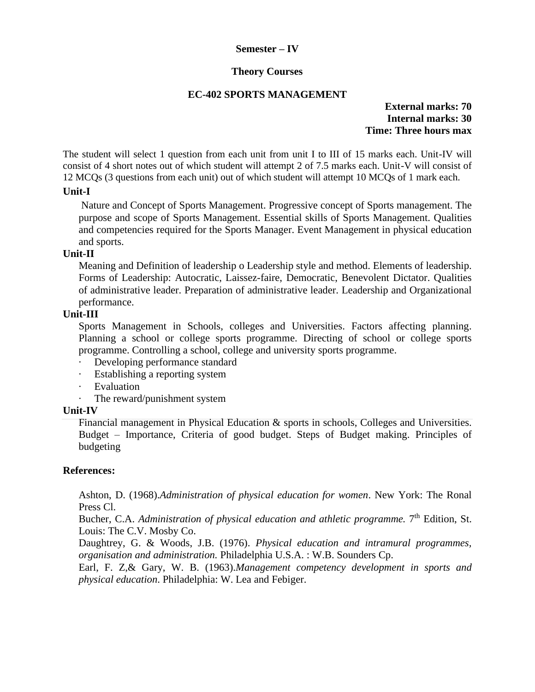### **Semester – IV**

### **Theory Courses**

#### **EC-402 SPORTS MANAGEMENT**

**External marks: 70 Internal marks: 30 Time: Three hours max**

The student will select 1 question from each unit from unit I to III of 15 marks each. Unit-IV will consist of 4 short notes out of which student will attempt 2 of 7.5 marks each. Unit-V will consist of 12 MCQs (3 questions from each unit) out of which student will attempt 10 MCQs of 1 mark each.

#### **Unit-I**

Nature and Concept of Sports Management. Progressive concept of Sports management. The purpose and scope of Sports Management. Essential skills of Sports Management. Qualities and competencies required for the Sports Manager. Event Management in physical education and sports.

### **Unit-II**

Meaning and Definition of leadership o Leadership style and method. Elements of leadership. Forms of Leadership: Autocratic, Laissez-faire, Democratic, Benevolent Dictator. Qualities of administrative leader. Preparation of administrative leader. Leadership and Organizational performance.

### **Unit-III**

Sports Management in Schools, colleges and Universities. Factors affecting planning. Planning a school or college sports programme. Directing of school or college sports programme. Controlling a school, college and university sports programme.

- Developing performance standard
- · Establishing a reporting system
- **Evaluation**
- The reward/punishment system

#### **Unit-IV**

Financial management in Physical Education & sports in schools, Colleges and Universities. Budget – Importance, Criteria of good budget. Steps of Budget making. Principles of budgeting

#### **References:**

Ashton, D. (1968).*Administration of physical education for women*. New York: The Ronal Press Cl.

Bucher, C.A. *Administration of physical education and athletic programme.* 7<sup>th</sup> Edition, St. Louis: The C.V. Mosby Co.

Daughtrey, G. & Woods, J.B. (1976). *Physical education and intramural programmes, organisation and administration.* Philadelphia U.S.A. : W.B. Sounders Cp.

Earl, F. Z,& Gary, W. B. (1963).*Management competency development in sports and physical education*. Philadelphia: W. Lea and Febiger.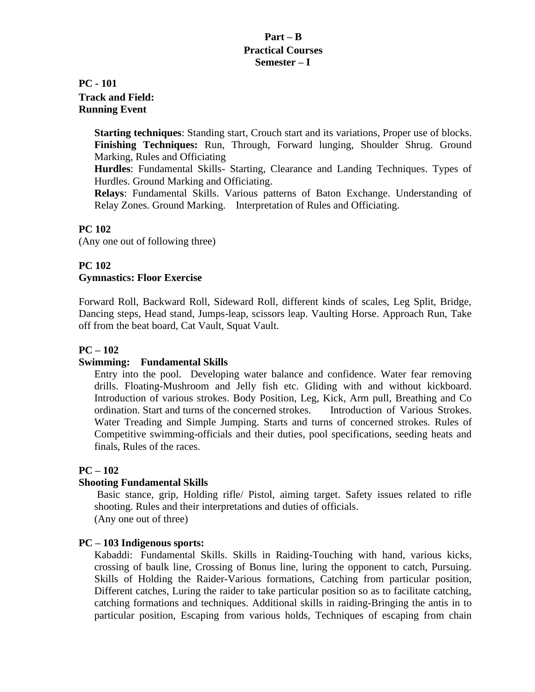## **Part – B Practical Courses Semester – I**

## **PC - 101 Track and Field: Running Event**

**Starting techniques**: Standing start, Crouch start and its variations, Proper use of blocks. **Finishing Techniques:** Run, Through, Forward lunging, Shoulder Shrug. Ground Marking, Rules and Officiating

**Hurdles**: Fundamental Skills- Starting, Clearance and Landing Techniques. Types of Hurdles. Ground Marking and Officiating.

**Relays**: Fundamental Skills. Various patterns of Baton Exchange. Understanding of Relay Zones. Ground Marking. Interpretation of Rules and Officiating.

## **PC 102**

(Any one out of following three)

## **PC 102**

## **Gymnastics: Floor Exercise**

Forward Roll, Backward Roll, Sideward Roll, different kinds of scales, Leg Split, Bridge, Dancing steps, Head stand, Jumps-leap, scissors leap. Vaulting Horse. Approach Run, Take off from the beat board, Cat Vault, Squat Vault.

## **PC – 102**

## **Swimming: Fundamental Skills**

Entry into the pool. Developing water balance and confidence. Water fear removing drills. Floating-Mushroom and Jelly fish etc. Gliding with and without kickboard. Introduction of various strokes. Body Position, Leg, Kick, Arm pull, Breathing and Co ordination. Start and turns of the concerned strokes. Introduction of Various Strokes. Water Treading and Simple Jumping. Starts and turns of concerned strokes. Rules of Competitive swimming-officials and their duties, pool specifications, seeding heats and finals, Rules of the races.

## **PC – 102**

### **Shooting Fundamental Skills**

Basic stance, grip, Holding rifle/ Pistol, aiming target. Safety issues related to rifle shooting. Rules and their interpretations and duties of officials. (Any one out of three)

## **PC – 103 Indigenous sports:**

Kabaddi: Fundamental Skills. Skills in Raiding-Touching with hand, various kicks, crossing of baulk line, Crossing of Bonus line, luring the opponent to catch, Pursuing. Skills of Holding the Raider-Various formations, Catching from particular position, Different catches, Luring the raider to take particular position so as to facilitate catching, catching formations and techniques. Additional skills in raiding-Bringing the antis in to particular position, Escaping from various holds, Techniques of escaping from chain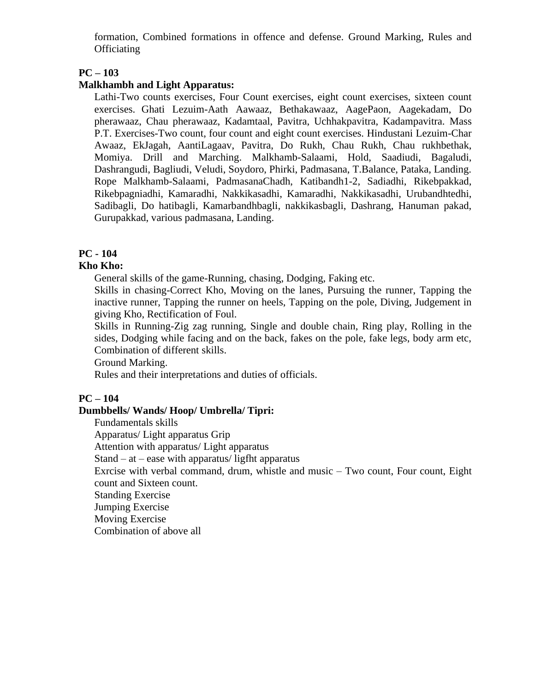formation, Combined formations in offence and defense. Ground Marking, Rules and **Officiating** 

## **PC – 103**

### **Malkhambh and Light Apparatus:**

Lathi-Two counts exercises, Four Count exercises, eight count exercises, sixteen count exercises. Ghati Lezuim-Aath Aawaaz, Bethakawaaz, AagePaon, Aagekadam, Do pherawaaz, Chau pherawaaz, Kadamtaal, Pavitra, Uchhakpavitra, Kadampavitra. Mass P.T. Exercises-Two count, four count and eight count exercises. Hindustani Lezuim-Char Awaaz, EkJagah, AantiLagaav, Pavitra, Do Rukh, Chau Rukh, Chau rukhbethak, Momiya. Drill and Marching. Malkhamb-Salaami, Hold, Saadiudi, Bagaludi, Dashrangudi, Bagliudi, Veludi, Soydoro, Phirki, Padmasana, T.Balance, Pataka, Landing. Rope Malkhamb-Salaami, PadmasanaChadh, Katibandh1-2, Sadiadhi, Rikebpakkad, Rikebpagniadhi, Kamaradhi, Nakkikasadhi, Kamaradhi, Nakkikasadhi, Urubandhtedhi, Sadibagli, Do hatibagli, Kamarbandhbagli, nakkikasbagli, Dashrang, Hanuman pakad, Gurupakkad, various padmasana, Landing.

## **PC - 104**

## **Kho Kho:**

General skills of the game-Running, chasing, Dodging, Faking etc.

Skills in chasing-Correct Kho, Moving on the lanes, Pursuing the runner, Tapping the inactive runner, Tapping the runner on heels, Tapping on the pole, Diving, Judgement in giving Kho, Rectification of Foul.

Skills in Running-Zig zag running, Single and double chain, Ring play, Rolling in the sides, Dodging while facing and on the back, fakes on the pole, fake legs, body arm etc, Combination of different skills.

Ground Marking.

Rules and their interpretations and duties of officials.

### **PC – 104**

### **Dumbbells/ Wands/ Hoop/ Umbrella/ Tipri:**

Fundamentals skills

Apparatus/ Light apparatus Grip

Attention with apparatus/ Light apparatus

Stand – at – ease with apparatus/ ligfht apparatus

Exrcise with verbal command, drum, whistle and music – Two count, Four count, Eight count and Sixteen count.

Standing Exercise

Jumping Exercise

Moving Exercise

Combination of above all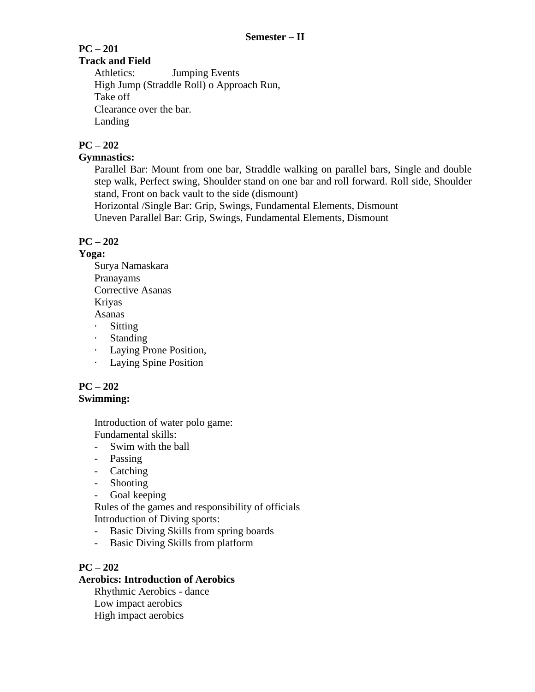#### **PC – 201 Track and Field**

Athletics: Jumping Events High Jump (Straddle Roll) o Approach Run, Take off Clearance over the bar. Landing

## **PC – 202**

## **Gymnastics:**

Parallel Bar: Mount from one bar, Straddle walking on parallel bars, Single and double step walk, Perfect swing, Shoulder stand on one bar and roll forward. Roll side, Shoulder stand, Front on back vault to the side (dismount)

Horizontal /Single Bar: Grip, Swings, Fundamental Elements, Dismount Uneven Parallel Bar: Grip, Swings, Fundamental Elements, Dismount

## **PC – 202**

## **Yoga:**

Surya Namaskara Pranayams Corrective Asanas Kriyas

Asanas

- · Sitting
- · Standing
- · Laying Prone Position,
- · Laying Spine Position

## **PC – 202 Swimming:**

Introduction of water polo game: Fundamental skills:

- Swim with the ball
- Passing
- Catching
- Shooting
- Goal keeping

Rules of the games and responsibility of officials Introduction of Diving sports:

- Basic Diving Skills from spring boards
- Basic Diving Skills from platform

## **PC – 202**

## **Aerobics: Introduction of Aerobics**

Rhythmic Aerobics - dance Low impact aerobics High impact aerobics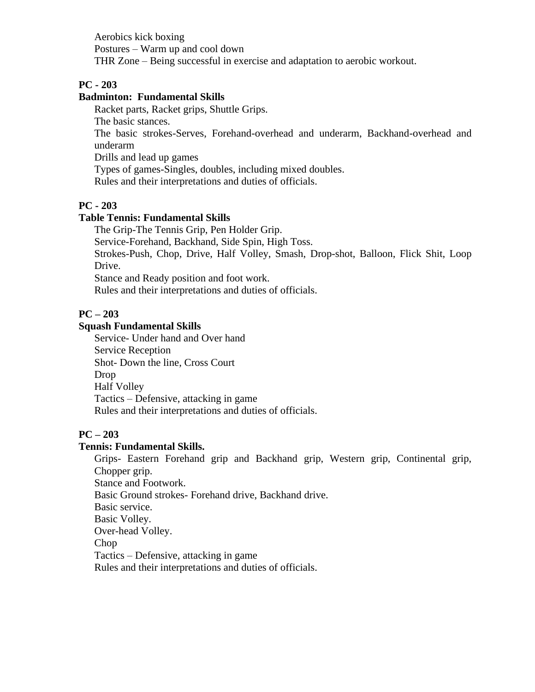Aerobics kick boxing Postures – Warm up and cool down THR Zone – Being successful in exercise and adaptation to aerobic workout.

## **PC - 203**

### **Badminton: Fundamental Skills**

Racket parts, Racket grips, Shuttle Grips. The basic stances. The basic strokes-Serves, Forehand-overhead and underarm, Backhand-overhead and underarm Drills and lead up games

Types of games-Singles, doubles, including mixed doubles.

Rules and their interpretations and duties of officials.

### **PC - 203**

## **Table Tennis: Fundamental Skills**

The Grip-The Tennis Grip, Pen Holder Grip.

Service-Forehand, Backhand, Side Spin, High Toss.

Strokes-Push, Chop, Drive, Half Volley, Smash, Drop-shot, Balloon, Flick Shit, Loop Drive.

Stance and Ready position and foot work.

Rules and their interpretations and duties of officials.

### **PC – 203**

### **Squash Fundamental Skills**

Service- Under hand and Over hand Service Reception Shot- Down the line, Cross Court Drop Half Volley Tactics – Defensive, attacking in game Rules and their interpretations and duties of officials.

### **PC – 203**

## **Tennis: Fundamental Skills.**

Grips- Eastern Forehand grip and Backhand grip, Western grip, Continental grip, Chopper grip. Stance and Footwork. Basic Ground strokes- Forehand drive, Backhand drive. Basic service. Basic Volley. Over-head Volley. Chop Tactics – Defensive, attacking in game Rules and their interpretations and duties of officials.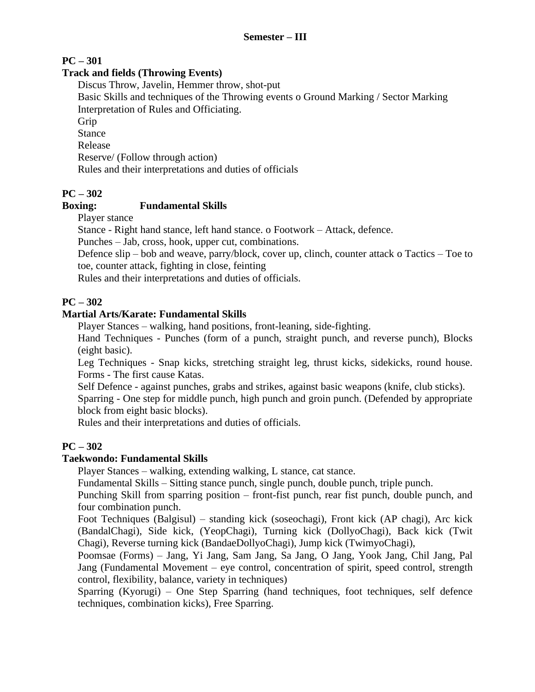## **PC – 301**

## **Track and fields (Throwing Events)**

Discus Throw, Javelin, Hemmer throw, shot-put

Basic Skills and techniques of the Throwing events o Ground Marking / Sector Marking Interpretation of Rules and Officiating.

Grip

Stance

Release

Reserve/ (Follow through action)

Rules and their interpretations and duties of officials

## **PC – 302**

## **Boxing: Fundamental Skills**

Player stance

Stance - Right hand stance, left hand stance. o Footwork – Attack, defence.

Punches – Jab, cross, hook, upper cut, combinations.

Defence slip – bob and weave, parry/block, cover up, clinch, counter attack o Tactics – Toe to toe, counter attack, fighting in close, feinting

Rules and their interpretations and duties of officials.

## **PC – 302**

## **Martial Arts/Karate: Fundamental Skills**

Player Stances – walking, hand positions, front-leaning, side-fighting.

Hand Techniques - Punches (form of a punch, straight punch, and reverse punch), Blocks (eight basic).

Leg Techniques - Snap kicks, stretching straight leg, thrust kicks, sidekicks, round house. Forms - The first cause Katas.

Self Defence - against punches, grabs and strikes, against basic weapons (knife, club sticks). Sparring - One step for middle punch, high punch and groin punch. (Defended by appropriate block from eight basic blocks).

Rules and their interpretations and duties of officials.

## **PC – 302**

## **Taekwondo: Fundamental Skills**

Player Stances – walking, extending walking, L stance, cat stance.

Fundamental Skills – Sitting stance punch, single punch, double punch, triple punch.

Punching Skill from sparring position – front-fist punch, rear fist punch, double punch, and four combination punch.

Foot Techniques (Balgisul) – standing kick (soseochagi), Front kick (AP chagi), Arc kick (BandalChagi), Side kick, (YeopChagi), Turning kick (DollyoChagi), Back kick (Twit Chagi), Reverse turning kick (BandaeDollyoChagi), Jump kick (TwimyoChagi),

Poomsae (Forms) – Jang, Yi Jang, Sam Jang, Sa Jang, O Jang, Yook Jang, Chil Jang, Pal Jang (Fundamental Movement – eye control, concentration of spirit, speed control, strength control, flexibility, balance, variety in techniques)

Sparring (Kyorugi) – One Step Sparring (hand techniques, foot techniques, self defence techniques, combination kicks), Free Sparring.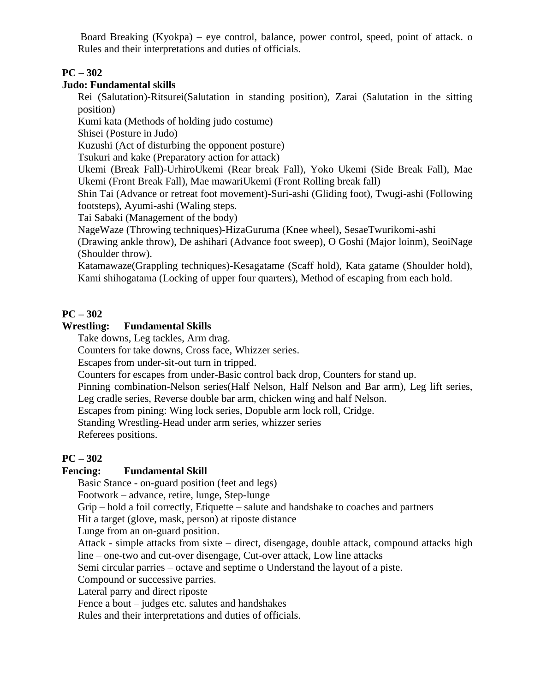Board Breaking (Kyokpa) – eye control, balance, power control, speed, point of attack. o Rules and their interpretations and duties of officials.

## **PC – 302**

## **Judo: Fundamental skills**

Rei (Salutation)-Ritsurei(Salutation in standing position), Zarai (Salutation in the sitting position)

Kumi kata (Methods of holding judo costume)

Shisei (Posture in Judo)

Kuzushi (Act of disturbing the opponent posture)

Tsukuri and kake (Preparatory action for attack)

Ukemi (Break Fall)-UrhiroUkemi (Rear break Fall), Yoko Ukemi (Side Break Fall), Mae Ukemi (Front Break Fall), Mae mawariUkemi (Front Rolling break fall)

Shin Tai (Advance or retreat foot movement)-Suri-ashi (Gliding foot), Twugi-ashi (Following footsteps), Ayumi-ashi (Waling steps.

Tai Sabaki (Management of the body)

NageWaze (Throwing techniques)-HizaGuruma (Knee wheel), SesaeTwurikomi-ashi

(Drawing ankle throw), De ashihari (Advance foot sweep), O Goshi (Major loinm), SeoiNage (Shoulder throw).

Katamawaze(Grappling techniques)-Kesagatame (Scaff hold), Kata gatame (Shoulder hold), Kami shihogatama (Locking of upper four quarters), Method of escaping from each hold.

## **PC – 302**

### **Wrestling: Fundamental Skills**

Take downs, Leg tackles, Arm drag.

Counters for take downs, Cross face, Whizzer series.

Escapes from under-sit-out turn in tripped.

Counters for escapes from under-Basic control back drop, Counters for stand up.

Pinning combination-Nelson series(Half Nelson, Half Nelson and Bar arm), Leg lift series,

Leg cradle series, Reverse double bar arm, chicken wing and half Nelson.

Escapes from pining: Wing lock series, Dopuble arm lock roll, Cridge.

Standing Wrestling-Head under arm series, whizzer series

Referees positions.

## **PC – 302**

## **Fencing: Fundamental Skill**

Basic Stance - on-guard position (feet and legs)

Footwork – advance, retire, lunge, Step-lunge

Grip – hold a foil correctly, Etiquette – salute and handshake to coaches and partners

Hit a target (glove, mask, person) at riposte distance

Lunge from an on-guard position.

Attack - simple attacks from sixte – direct, disengage, double attack, compound attacks high line – one-two and cut-over disengage, Cut-over attack, Low line attacks

Semi circular parries – octave and septime o Understand the layout of a piste.

Compound or successive parries.

Lateral parry and direct riposte

Fence a bout – judges etc. salutes and handshakes

Rules and their interpretations and duties of officials.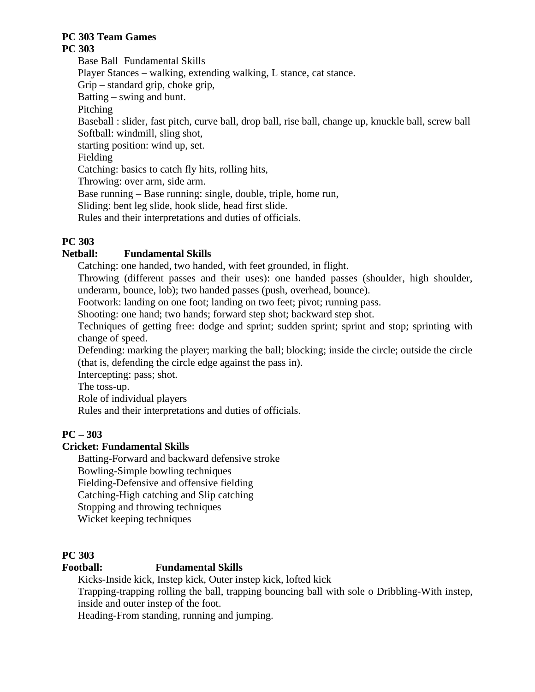### **PC 303 Team Games PC 303**

Base Ball Fundamental Skills Player Stances – walking, extending walking, L stance, cat stance. Grip – standard grip, choke grip, Batting – swing and bunt. Pitching Baseball : slider, fast pitch, curve ball, drop ball, rise ball, change up, knuckle ball, screw ball Softball: windmill, sling shot, starting position: wind up, set. Fielding – Catching: basics to catch fly hits, rolling hits, Throwing: over arm, side arm. Base running – Base running: single, double, triple, home run, Sliding: bent leg slide, hook slide, head first slide. Rules and their interpretations and duties of officials.

## **PC 303**

## **Netball: Fundamental Skills**

Catching: one handed, two handed, with feet grounded, in flight.

Throwing (different passes and their uses): one handed passes (shoulder, high shoulder, underarm, bounce, lob); two handed passes (push, overhead, bounce).

Footwork: landing on one foot; landing on two feet; pivot; running pass.

Shooting: one hand; two hands; forward step shot; backward step shot.

Techniques of getting free: dodge and sprint; sudden sprint; sprint and stop; sprinting with change of speed.

Defending: marking the player; marking the ball; blocking; inside the circle; outside the circle (that is, defending the circle edge against the pass in).

Intercepting: pass; shot.

The toss-up.

Role of individual players

Rules and their interpretations and duties of officials.

## **PC – 303**

## **Cricket: Fundamental Skills**

Batting-Forward and backward defensive stroke Bowling-Simple bowling techniques Fielding-Defensive and offensive fielding Catching-High catching and Slip catching Stopping and throwing techniques Wicket keeping techniques

## **PC 303**

## **Football: Fundamental Skills**

Kicks-Inside kick, Instep kick, Outer instep kick, lofted kick

Trapping-trapping rolling the ball, trapping bouncing ball with sole o Dribbling-With instep, inside and outer instep of the foot.

Heading-From standing, running and jumping.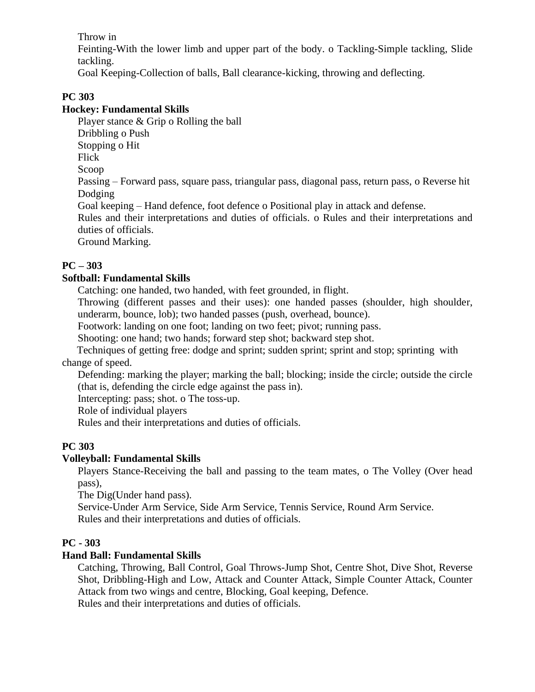Throw in

Feinting-With the lower limb and upper part of the body. o Tackling-Simple tackling, Slide tackling.

Goal Keeping-Collection of balls, Ball clearance-kicking, throwing and deflecting.

## **PC 303**

## **Hockey: Fundamental Skills**

Player stance & Grip o Rolling the ball

Dribbling o Push

Stopping o Hit

Flick

Scoop

Passing – Forward pass, square pass, triangular pass, diagonal pass, return pass, o Reverse hit Dodging

Goal keeping – Hand defence, foot defence o Positional play in attack and defense.

Rules and their interpretations and duties of officials. o Rules and their interpretations and duties of officials.

Ground Marking.

## **PC – 303**

## **Softball: Fundamental Skills**

Catching: one handed, two handed, with feet grounded, in flight.

Throwing (different passes and their uses): one handed passes (shoulder, high shoulder, underarm, bounce, lob); two handed passes (push, overhead, bounce).

Footwork: landing on one foot; landing on two feet; pivot; running pass.

Shooting: one hand; two hands; forward step shot; backward step shot.

Techniques of getting free: dodge and sprint; sudden sprint; sprint and stop; sprinting with change of speed.

Defending: marking the player; marking the ball; blocking; inside the circle; outside the circle (that is, defending the circle edge against the pass in).

Intercepting: pass; shot. o The toss-up.

Role of individual players

Rules and their interpretations and duties of officials.

## **PC 303**

## **Volleyball: Fundamental Skills**

Players Stance-Receiving the ball and passing to the team mates, o The Volley (Over head pass),

The Dig(Under hand pass).

Service-Under Arm Service, Side Arm Service, Tennis Service, Round Arm Service. Rules and their interpretations and duties of officials.

## **PC - 303**

## **Hand Ball: Fundamental Skills**

Catching, Throwing, Ball Control, Goal Throws-Jump Shot, Centre Shot, Dive Shot, Reverse Shot, Dribbling-High and Low, Attack and Counter Attack, Simple Counter Attack, Counter Attack from two wings and centre, Blocking, Goal keeping, Defence.

Rules and their interpretations and duties of officials.